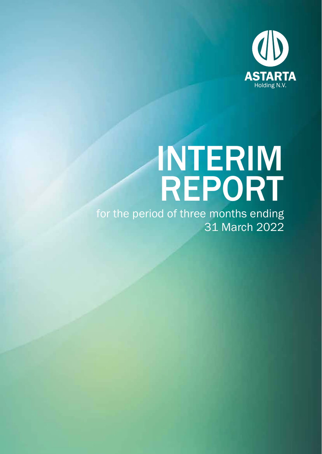

# INTERIM REPORT

for the period of three months ending 31 March 2022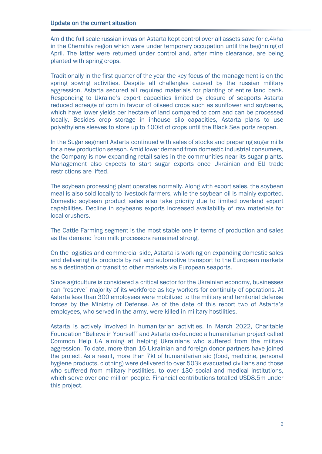Amid the full scale russian invasion Astarta kept control over all assets save for c.4kha in the Chernihiv region which were under temporary occupation until the beginning of April. The latter were returned under control and, after mine clearance, are being planted with spring crops.

Traditionally in the first quarter of the year the key focus of the management is on the spring sowing activities. Despite all challenges caused by the russian military aggression, Astarta secured all required materials for planting of entire land bank. Responding to Ukraine's export capacities limited by closure of seaports Astarta reduced acreage of corn in favour of oilseed crops such as sunflower and soybeans, which have lower yields per hectare of land compared to corn and can be processed locally. Besides crop storage in inhouse silo capacities, Astarta plans to use polyethylene sleeves to store up to 100kt of crops until the Black Sea ports reopen.

In the Sugar segment Astarta continued with sales of stocks and preparing sugar mills for a new production season. Amid lower demand from domestic industrial consumers, the Company is now expanding retail sales in the communities near its sugar plants. Management also expects to start sugar exports once Ukrainian and EU trade restrictions are lifted.

The soybean processing plant operates normally. Along with export sales, the soybean meal is also sold locally to livestock farmers, while the soybean oil is mainly exported. Domestic soybean product sales also take priority due to limited overland export capabilities. Decline in soybeans exports increased availability of raw materials for local crushers.

The Cattle Farming segment is the most stable one in terms of production and sales as the demand from milk processors remained strong.

On the logistics and commercial side, Astarta is working on expanding domestic sales and delivering its products by rail and automotive transport to the European markets as a destination or transit to other markets via European seaports.

Since agriculture is considered a critical sector for the Ukrainian economy, businesses can "reserve" majority of its workforce as key workers for continuity of operations. At Astarta less than 300 employees were mobilized to the military and territorial defense forces by the Ministry of Defense. As of the date of this report two of Astarta's employees, who served in the army, were killed in military hostilities.

Astarta is actively involved in humanitarian activities. In March 2022, Charitable Foundation "Believe in Yourself" and Astarta co-founded a humanitarian project called Common Help UA aiming at helping Ukrainians who suffered from the military aggression. To date, more than 16 Ukrainian and foreign donor partners have joined the project. As a result, more than 7kt of humanitarian aid (food, medicine, personal hygiene products, clothing) were delivered to over 503k evacuated civilians and those who suffered from military hostilities, to over 130 social and medical institutions, which serve over one million people. Financial contributions totalled USD8.5m under this project.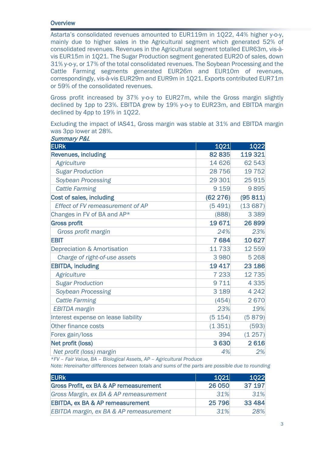## **Overview**

Astarta's consolidated revenues amounted to EUR119m in 1Q22, 44% higher y-o-y, mainly due to higher sales in the Agricultural segment which generated 52% of consolidated revenues. Revenues in the Agricultural segment totalled EUR63m, vis-àvis EUR15m in 1Q21. The Sugar Production segment generated EUR20 of sales, down 31% y-o-y, or 17% of the total consolidated revenues. The Soybean Processing and the Cattle Farming segments generated EUR26m and EUR10m of revenues, correspondingly, vis-à-vis EUR29m and EUR9m in 1Q21. Exports contributed EUR71m or 59% of the consolidated revenues.

Gross profit increased by 37% y-o-y to EUR27m, while the Gross margin slightly declined by 1pp to 23%. EBITDA grew by 19% y-o-y to EUR23m, and EBITDA margin declined by 4pp to 19% in 1Q22.

Excluding the impact of IAS41, Gross margin was stable at 31% and EBITDA margin was 3pp lower at 28%. Summary P&L

| <i><b>Summary Poll</b></i>              |             |             |
|-----------------------------------------|-------------|-------------|
| <b>EURK</b>                             | <b>1Q21</b> | <b>1Q22</b> |
| <b>Revenues, including</b>              | 82 835      | 119 321     |
| <b>Agriculture</b>                      | 14 626      | 62 543      |
| <b>Sugar Production</b>                 | 28 7 5 6    | 19 7 52     |
| Soybean Processing                      | 29 301      | 25915       |
| <b>Cattle Farming</b>                   | 9 1 5 9     | 9895        |
| Cost of sales, including                | (62 276)    | (95811)     |
| <b>Effect of FV remeasurement of AP</b> | (5491)      | (13687)     |
| Changes in FV of BA and AP*             | (888)       | 3 3 8 9     |
| <b>Gross profit</b>                     | 19671       | 26899       |
| Gross profit margin                     | 24%         | 23%         |
| <b>EBIT</b>                             | 7684        | 10 627      |
| <b>Depreciation &amp; Amortisation</b>  | 11733       | 12 559      |
| Charge of right-of-use assets           | 3980        | 5 2 6 8     |
| <b>EBITDA, including</b>                | 19 4 17     | 23 186      |
| <b>Agriculture</b>                      | 7 2 3 3     | 12 7 35     |
| <b>Sugar Production</b>                 | 9711        | 4 3 3 5     |
| Soybean Processing                      | 3 1 8 9     | 4 2 4 2     |
| <b>Cattle Farming</b>                   | (454)       | 2670        |
| <b>EBITDA</b> margin                    | 23%         | 19%         |
| Interest expense on lease liability     | (5 154)     | (5879)      |
| Other finance costs                     | (1351)      | (593)       |
| Forex gain/loss                         | 394         | (1257)      |
| Net profit (loss)                       | 3630        | 2616        |
| Net profit (loss) margin                | 4%          | 2%          |

*\*FV – Fair Value, BA – Biological Assets, AP – Agricultural Produce*

*Note: Hereinafter differences between totals and sums of the parts are possible due to rounding*

| <b>EURK</b>                                 | 1021    | 1022    |
|---------------------------------------------|---------|---------|
| Gross Profit, ex BA & AP remeasurement      | 26 050  | 37 197  |
| Gross Margin, ex BA & AP remeasurement      | 31%     | 31%     |
| <b>EBITDA, ex BA &amp; AP remeasurement</b> | 25 7 96 | 33 4 84 |
| EBITDA margin, ex BA & AP remeasurement     | .31%    | 28%     |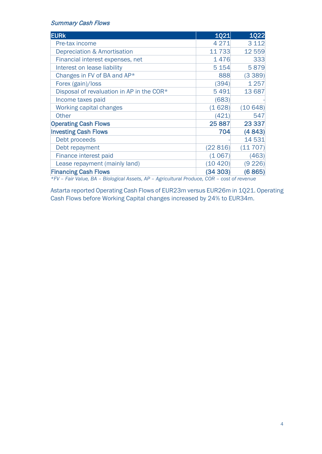#### Summary Cash Flows

| <b>EURK</b>                               | <b>1021</b> | <b>1Q22</b> |
|-------------------------------------------|-------------|-------------|
| Pre-tax income                            | 4 2 7 1     | 3 1 1 2     |
| <b>Depreciation &amp; Amortisation</b>    | 11 733      | 12 559      |
| Financial interest expenses, net          | 1476        | 333         |
| Interest on lease liability               | 5 1 5 4     | 5879        |
| Changes in FV of BA and AP*               | 888         | (3389)      |
| Forex (gain)/loss                         | (394)       | 1 2 5 7     |
| Disposal of revaluation in AP in the COR* | 5491        | 13 687      |
| Income taxes paid                         | (683)       |             |
| <b>Working capital changes</b>            | (1628)      | (10648)     |
| <b>Other</b>                              | (421)       | 547         |
| <b>Operating Cash Flows</b>               | 25 8 87     | 23 3 3 7    |
| <b>Investing Cash Flows</b>               | 704         | (4843)      |
| Debt proceeds                             |             | 14 531      |
| Debt repayment                            | (22816)     | (11 707)    |
| Finance interest paid                     | (1067)      | (463)       |
| Lease repayment (mainly land)             | (10 420)    | (9 226)     |
| <b>Financing Cash Flows</b>               | (34303)     | (6865)      |

*\*FV – Fair Value, BA – Biological Assets, AP – Agricultural Produce, COR – cost of revenue*

Astarta reported Operating Cash Flows of EUR23m versus EUR26m in 1Q21. Operating Cash Flows before Working Capital changes increased by 24% to EUR34m.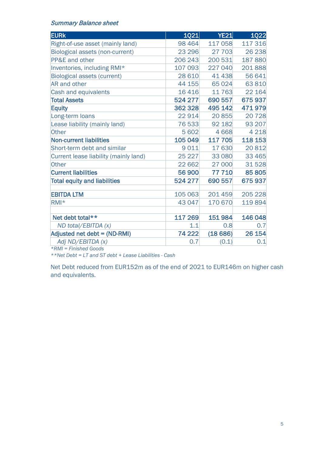## Summary Balance sheet

| <b>1Q21</b> | <b>YE21</b> | <b>1Q22</b> |
|-------------|-------------|-------------|
| 98 4 64     | 117 058     | 117 316     |
| 23 296      | 27 703      | 26 238      |
| 206 243     | 200 531     | 187880      |
| 107 093     | 227 040     | 201888      |
| 28 6 10     | 41 438      | 56 641      |
| 44 155      | 65 0 24     | 63810       |
| 16416       | 11763       | 22 164      |
| 524 277     | 690 557     | 675937      |
| 362 328     | 495 142     | 471979      |
| 22914       | 20 855      | 20728       |
| 76 533      | 92 182      | 93 207      |
| 5 602       | 4668        | 4 2 1 8     |
| 105 049     | 117 705     | 118 153     |
| 9011        | 17 630      | 20 812      |
| 25 2 27     | 33 0 80     | 33 4 65     |
| 22 662      | 27 000      | 31528       |
| 56 900      | 77 710      | 85 805      |
| 524 277     | 690 557     | 675937      |
| 105 063     | 201459      | 205 228     |
| 43 047      | 170 670     | 119894      |
| 117 269     | 151 984     | 146 048     |
| 1.1         | 0.8         | 0.7         |
| 74 222      | (18686)     | 26 154      |
| 0.7         | (0.1)       | 0.1         |
|             |             |             |

*\*RMI = Finished Goods*

*\*\*Net Debt = LT and ST debt + Lease Liabilities - Cash*

Net Debt reduced from EUR152m as of the end of 2021 to EUR146m on higher cash and equivalents.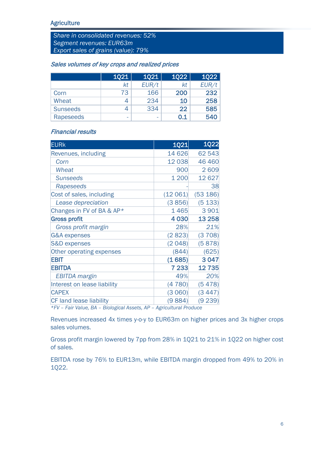*Share in consolidated revenues: 52% Segment revenues: EUR63m Export sales of grains (value): 79%*

#### Sales volumes of key crops and realized prices

|                 | <b>1Q21</b> | <b>1Q21</b> | <b>1022</b> | <b>1022</b> |
|-----------------|-------------|-------------|-------------|-------------|
|                 | kt          | EUR/t       | kt          | EUR/t       |
| Corn            | 73          | 166         | 200         | 232         |
| Wheat           | 4           | 234         | 10          | 258         |
| <b>Sunseeds</b> |             | 334         | 22          | 585         |
| Rapeseeds       | -           | -           | 0.1         | 540         |

## Financial results

| <b>EURk</b>                    | <b>1Q21</b> | <b>1Q22</b> |
|--------------------------------|-------------|-------------|
| Revenues, including            | 14 626      | 62 543      |
| Corn                           | 12 038      | 46 460      |
| Wheat                          | 900         | 2609        |
| <b>Sunseeds</b>                | 1 200       | 12 627      |
| Rapeseeds                      |             | 38          |
| Cost of sales, including       | (12 061)    | (53 186)    |
| Lease depreciation             | (3856)      | (5133)      |
| Changes in FV of BA & AP*      | 1465        | 3 9 0 1     |
| <b>Gross profit</b>            | 4 0 3 0     | 13 258      |
| Gross profit margin            | 28%         | 21%         |
| <b>G&amp;A</b> expenses        | (2823)      | (3708)      |
| <b>S&amp;D expenses</b>        | (2048)      | (5878)      |
| Other operating expenses       | (844)       | (625)       |
| <b>EBIT</b>                    | (1685)      | 3 0 4 7     |
| <b>EBITDA</b>                  | 7 233       | 12735       |
| <b>EBITDA</b> margin           | 49%         | 20%         |
| Interest on lease liability    | (4780)      | (5478)      |
| <b>CAPEX</b>                   | (3 060)     | (3447)      |
| <b>CF land lease liability</b> | (9884)      | (9 239)     |

*\*FV – Fair Value, BA – Biological Assets, AP – Agricultural Produce*

Revenues increased 4x times y-o-y to EUR63m on higher prices and 3x higher crops sales volumes.

Gross profit margin lowered by 7pp from 28% in 1Q21 to 21% in 1Q22 on higher cost of sales.

EBITDA rose by 76% to EUR13m, while EBITDA margin dropped from 49% to 20% in 1Q22.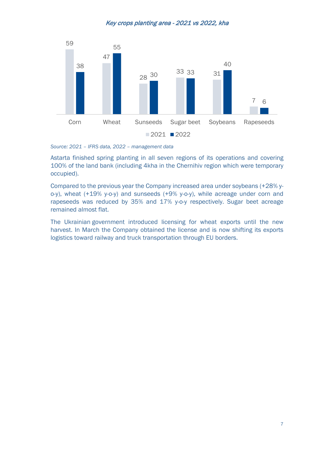### Key crops planting area - 2021 vs 2022, kha



*Source: 2021 – IFRS data, 2022 – management data*

Astarta finished spring planting in all seven regions of its operations and covering 100% of the land bank (including 4kha in the Chernihiv region which were temporary occupied).

Compared to the previous year the Company increased area under soybeans (+28% yo-y), wheat (+19% y-o-y) and sunseeds (+9% y-o-y), while acreage under corn and rapeseeds was reduced by 35% and 17% y-o-y respectively. Sugar beet acreage remained almost flat.

The Ukrainian government introduced licensing for wheat exports until the new harvest. In March the Company obtained the license and is now shifting its exports logistics toward railway and truck transportation through EU borders.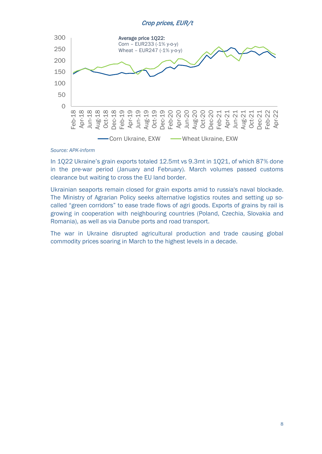#### Crop prices, EUR/t



#### *Source: APK-inform*

In 1Q22 Ukraine's grain exports totaled 12.5mt vs 9.3mt in 1Q21, of which 87% done in the pre-war period (January and February). March volumes passed customs clearance but waiting to cross the EU land border.

Ukrainian seaports remain closed for grain exports amid to russia's naval blockade. The Ministry of Agrarian Policy seeks alternative logistics routes and setting up socalled "green corridors" to ease trade flows of agri goods. Exports of grains by rail is growing in cooperation with neighbouring countries (Poland, Czechia, Slovakia and Romania), as well as via Danube ports and road transport.

The war in Ukraine disrupted agricultural production and trade causing global commodity prices soaring in March to the highest levels in a decade.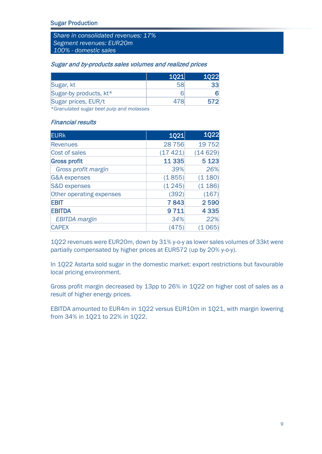*Share in consolidated revenues: 17% Segment revenues: EUR20m 100% - domestic sales*

#### Sugar and by-products sales volumes and realized prices

|                        | 1021 |  |
|------------------------|------|--|
| Sugar, kt              |      |  |
| Sugar-by products, kt* |      |  |
| Sugar prices, EUR/t    |      |  |

*\*Granulated sugar beet pulp and molasses*

## Financial results

| <b>EURK</b>              | <b>1Q21</b> | 1Q22    |
|--------------------------|-------------|---------|
| <b>Revenues</b>          | 28756       | 19 7 52 |
| Cost of sales            | (17 421)    | (14629) |
| <b>Gross profit</b>      | 11 3 35     | 5 1 2 3 |
| Gross profit margin      | 39%         | 26%     |
| <b>G&amp;A</b> expenses  | (1855)      | (1 180) |
| <b>S&amp;D</b> expenses  | (1245)      | (1186)  |
| Other operating expenses | (392)       | (167)   |
| <b>EBIT</b>              | 7843        | 2590    |
| <b>EBITDA</b>            | 9711        | 4 3 3 5 |
| <b>EBITDA</b> margin     | 34%         | 22%     |
| <b>CAPEX</b>             | 475         | (65     |

1Q22 revenues were EUR20m, down by 31% y-o-y as lower sales volumes of 33kt were partially compensated by higher prices at EUR572 (up by 20% y-o-y).

In 1Q22 Astarta sold sugar in the domestic market: export restrictions but favourable local pricing environment.

Gross profit margin decreased by 13pp to 26% in 1Q22 on higher cost of sales as a result of higher energy prices.

EBITDA amounted to EUR4m in 1Q22 versus EUR10m in 1Q21, with margin lowering from 34% in 1Q21 to 22% in 1Q22.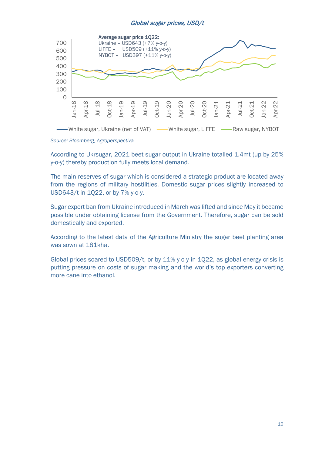## Global sugar prices, USD/t



According to Ukrsugar, 2021 beet sugar output in Ukraine totalled 1.4mt (up by 25% y-o-y) thereby production fully meets local demand.

The main reserves of sugar which is considered a strategic product are located away from the regions of military hostilities. Domestic sugar prices slightly increased to USD643/t in 1Q22, or by 7% y-o-y.

Sugar export ban from Ukraine introduced in March was lifted and since May it became possible under obtaining license from the Government. Therefore, sugar can be sold domestically and exported.

According to the latest data of the Agriculture Ministry the sugar beet planting area was sown at 181kha.

Global prices soared to USD509/t, or by 11% y-o-y in 1Q22, as global energy crisis is putting pressure on costs of sugar making and the world's top exporters converting more cane into ethanol.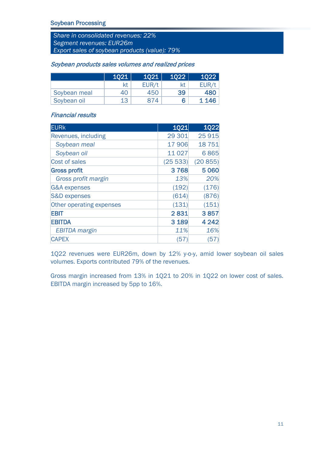*Share in consolidated revenues: 22% Segment revenues: EUR26m Export sales of soybean products (value): 79%*

|              | 1021 | 1021  | 1022 | 1022  |
|--------------|------|-------|------|-------|
|              | kt   | EUR/t | kt   | EUR/t |
| Soybean meal | 40   | 450   | 39   | 480   |
| Soybean oil  | 13   | 874   | 6    | 1 146 |

#### Soybean products sales volumes and realized prices

# Financial results

| <b>EURK</b>              | 1021    | <b>1Q22</b> |
|--------------------------|---------|-------------|
| Revenues, including      | 29 301  | 25915       |
| Soybean meal             | 17 906  | 18 751      |
| Soybean oil              | 11027   | 6865        |
| <b>Cost of sales</b>     | (2553)  | (20855)     |
| <b>Gross profit</b>      | 3768    | 5 0 6 0     |
| Gross profit margin      | 13%     | 20%         |
| <b>G&amp;A</b> expenses  | (192)   | (176)       |
| <b>S&amp;D expenses</b>  | (614)   | (876)       |
| Other operating expenses | (131)   | (151)       |
| <b>EBIT</b>              | 2831    | 3857        |
| <b>EBITDA</b>            | 3 1 8 9 | 4 2 4 2     |
| <b>EBITDA</b> margin     | 11%     | 16%         |
| <b>CAPEX</b>             | (57     | 57)         |

1Q22 revenues were EUR26m, down by 12% y-o-y, amid lower soybean oil sales volumes. Exports contributed 79% of the revenues.

Gross margin increased from 13% in 1Q21 to 20% in 1Q22 on lower cost of sales. EBITDA margin increased by 5pp to 16%.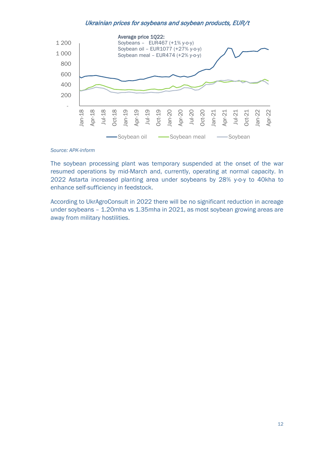#### Ukrainian prices for soybeans and soybean products, EUR/t



#### *Source: APK-inform*

The soybean processing plant was temporary suspended at the onset of the war resumed operations by mid-March and, currently, operating at normal capacity. In 2022 Astarta increased planting area under soybeans by 28% y-o-y to 40kha to enhance self-sufficiency in feedstock.

According to UkrAgroConsult in 2022 there will be no significant reduction in acreage under soybeans – 1.20mha vs 1.35mha in 2021, as most soybean growing areas are away from military hostilities.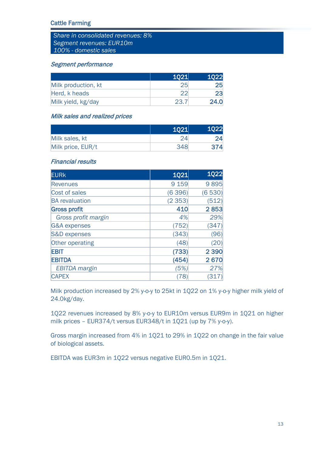## Cattle Farming

*Share in consolidated revenues: 8% Segment revenues: EUR10m 100% - domestic sales*

#### Segment performance

|                     | 1021 | 1022 |
|---------------------|------|------|
| Milk production, kt | 25   |      |
| Herd, k heads       |      |      |
| Milk yield, kg/day  | 23.  | 24.0 |

## Milk sales and realized prices

|                   | 1021 | 1022 |
|-------------------|------|------|
| Milk sales, kt    |      |      |
| Milk price, EUR/t | 348  |      |

#### Financial results

| <b>EURK</b>             | <b>1Q21</b> | <b>1Q22</b> |
|-------------------------|-------------|-------------|
| <b>Revenues</b>         | 9 1 5 9     | 9895        |
| Cost of sales           | (6396)      | (6530)      |
| <b>BA</b> revaluation   | (2353)      | (512)       |
| <b>Gross profit</b>     | 410         | 2853        |
| Gross profit margin     | 4%          | 29%         |
| <b>G&amp;A</b> expenses | (752)       | (347)       |
| <b>S&amp;D</b> expenses | (343)       | (96)        |
| <b>Other operating</b>  | (48)        | (20)        |
| <b>EBIT</b>             | (733)       | 2 3 9 0     |
| <b>EBITDA</b>           | (454)       | 2670        |
| <b>EBITDA</b> margin    | (5%)        | 27%         |
| <b>CAPEX</b>            | 78          | (317)       |

Milk production increased by 2% y-o-y to 25kt in 1Q22 on 1% y-o-y higher milk yield of 24.0kg/day.

1Q22 revenues increased by 8% y-o-y to EUR10m versus EUR9m in 1Q21 on higher milk prices – EUR374/t versus EUR348/t in 1Q21 (up by 7% y-o-y).

Gross margin increased from 4% in 1Q21 to 29% in 1Q22 on change in the fair value of biological assets.

EBITDA was EUR3m in 1Q22 versus negative EUR0.5m in 1Q21.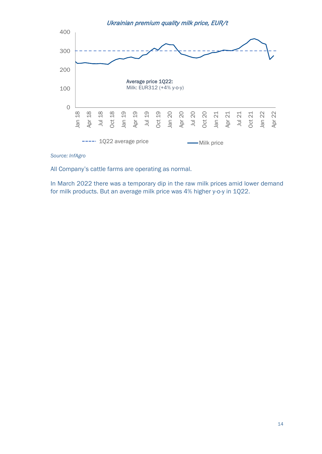Ukrainian premium quality milk price, EUR/t



#### *Source: InfAgro*

All Company's cattle farms are operating as normal.

In March 2022 there was a temporary dip in the raw milk prices amid lower demand for milk products. But an average milk price was 4% higher y-o-y in 1Q22.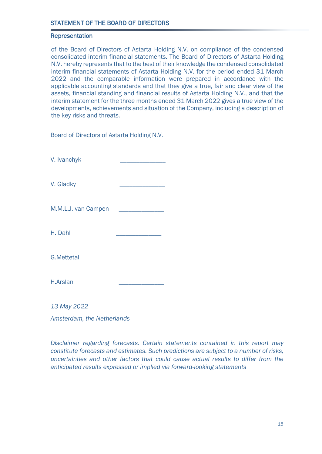### Representation

of the Board of Directors of Astarta Holding N.V. on compliance of the condensed consolidated interim financial statements. The Board of Directors of Astarta Holding N.V. hereby represents that to the best of their knowledge the condensed consolidated interim financial statements of Astarta Holding N.V. for the period ended 31 March 2022 and the comparable information were prepared in accordance with the applicable accounting standards and that they give a true, fair and clear view of the assets, financial standing and financial results of Astarta Holding N.V., and that the interim statement for the three months ended 31 March 2022 gives a true view of the developments, achievements and situation of the Company, including a description of the key risks and threats.

Board of Directors of Astarta Holding N.V.

V. Ivanchyk \_\_\_\_\_\_\_\_\_\_\_\_\_\_

V. Gladky

M.M.L.J. van Campen

H. Dahl \_\_\_\_\_\_\_\_\_\_\_\_\_\_

G.Mettetal \_\_\_\_\_\_\_\_\_\_\_\_\_\_

H.Arslan \_\_\_\_\_\_\_\_\_\_\_\_\_\_

*13 May 2022*

*Amsterdam, the Netherlands*

*Disclaimer regarding forecasts. Certain statements contained in this report may constitute forecasts and estimates. Such predictions are subject to a number of risks, uncertainties and other factors that could cause actual results to differ from the anticipated results expressed or implied via forward-looking statements*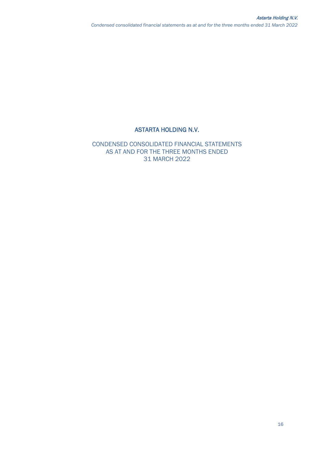# ASTARTA HOLDING N.V.

CONDENSED СONSOLIDATED FINANCIAL STATEMENTS AS AT AND FOR THE THREE MONTHS ENDED 31 MARCH 2022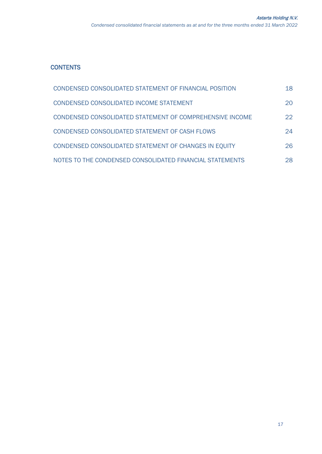# **CONTENTS**

| CONDENSED CONSOLIDATED STATEMENT OF FINANCIAL POSITION   | 18 |
|----------------------------------------------------------|----|
| CONDENSED CONSOLIDATED INCOME STATEMENT                  | 20 |
| CONDENSED CONSOLIDATED STATEMENT OF COMPREHENSIVE INCOME | 22 |
| CONDENSED CONSOLIDATED STATEMENT OF CASH FLOWS           | 24 |
| CONDENSED CONSOLIDATED STATEMENT OF CHANGES IN EQUITY    | 26 |
| NOTES TO THE CONDENSED CONSOLIDATED FINANCIAL STATEMENTS | 28 |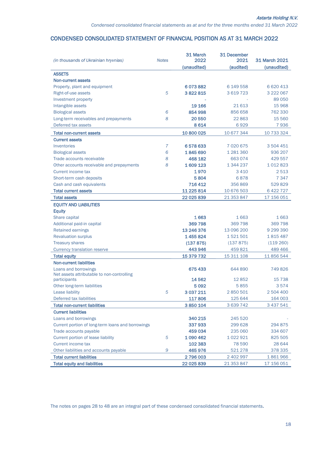#### CONDENSED CONSOLIDATED STATEMENT OF FINANCIAL POSITION AS AT 31 MARCH 2022

| (in thousands of Ukrainian hryvnias)              | <b>Notes</b>   | 31 March<br>2022 | 31 December<br>2021 | 31 March 2021 |
|---------------------------------------------------|----------------|------------------|---------------------|---------------|
|                                                   |                | (unaudited)      | (audited)           | (unaudited)   |
| <b>ASSETS</b>                                     |                |                  |                     |               |
| <b>Non-current assets</b>                         |                |                  |                     |               |
| Property, plant and equipment                     |                | 6073882          | 6 149 558           | 6 6 20 4 13   |
| Right-of-use assets                               | 5              | 3822815          | 3 6 19 7 23         | 3 222 067     |
| Investment property                               |                |                  |                     | 89 050        |
| Intangible assets                                 |                | 19 16 6          | 21613               | 15 968        |
| <b>Biological assets</b>                          | 6              | 854 998          | 856 658             | 762 330       |
| Long-term receivables and prepayments             | 8              | 20550            | 22 863              | 15 5 60       |
| Deferred tax assets                               |                | 8614             | 6929                | 7936          |
| <b>Total non-current assets</b>                   |                | 10 800 025       | 10 677 344          | 10 733 324    |
| <b>Current assets</b>                             |                |                  |                     |               |
| Inventories                                       | $\overline{7}$ | 6578633          | 7020675             | 3 504 451     |
| <b>Biological assets</b>                          | 6              | 1845690          | 1 281 360           | 936 207       |
| Trade accounts receivable                         | 8              | 468 182          | 663074              | 429 557       |
| Other accounts receivable and prepayments         | 8              | 1609123          | 1 344 237           | 1012823       |
| Current income tax                                |                | 1970             | 3410                | 2513          |
| Short-term cash deposits                          |                | 5804             | 6878                | 7 3 4 7       |
| Cash and cash equivalents                         |                | 716412           | 356869              | 529829        |
| <b>Total current assets</b>                       |                | 11 225 814       | 10 676 503          | 6 422 727     |
| <b>Total assets</b>                               |                | 22 025 839       | 21 353 847          | 17 156 051    |
| <b>EQUITY AND LIABILITIES</b>                     |                |                  |                     |               |
| <b>Equity</b>                                     |                |                  |                     |               |
| Share capital                                     |                | 1663             | 1663                | 1663          |
| Additional paid-in capital                        |                | 369798           | 369798              | 369798        |
| <b>Retained earnings</b>                          |                | 13 246 376       | 13 096 200          | 9 299 390     |
| <b>Revaluation surplus</b>                        |                | 1455824          | 1521501             | 1815487       |
| <b>Treasury shares</b>                            |                | (137 875)        | (137 875)           | (119 260)     |
| <b>Currency translation reserve</b>               |                | 443946           | 459 821             | 489 466       |
| <b>Total equity</b>                               |                | 15 379 732       | 15 311 108          | 11 856 544    |
| <b>Non-current liabilities</b>                    |                |                  |                     |               |
| Loans and borrowings                              |                | 675433           | 644 890             | 749826        |
| Net assets attributable to non-controlling        |                |                  |                     |               |
| participants                                      |                | 14 5 62          | 12852               | 15 7 38       |
| Other long-term liabilities                       |                | 5092             | 5855                | 3574          |
| Lease liability                                   | 5              | 3 0 3 7 2 1 1    | 2850501             | 2 504 400     |
| Deferred tax liabilities                          |                | 117806           | 125 644             | 164 003       |
| <b>Total non-current liabilities</b>              |                | 3850104          | 3 639 742           | 3 437 541     |
| <b>Current liabilities</b>                        |                |                  |                     |               |
| Loans and borrowings                              |                | 340 215          | 245 520             |               |
| Current portion of long-term loans and borrowings |                | 337933           | 299 628             | 294 875       |
| Trade accounts payable                            |                | 459 034          | 235 060             | 334 607       |
| Current portion of lease liability                | 5              | 1 090 462        | 1022921             | 825 505       |
| <b>Current income tax</b>                         |                | 102 383          | 78 590              | 28 644        |
| Other liabilities and accounts payable            | 9              | 465976           | 521 278             | 378 335       |
| <b>Total current liabilities</b>                  |                | 2796003          | 2 402 997           | 1861966       |
| <b>Total equity and liabilities</b>               |                | 22 0 25 8 39     | 21 353 847          | 17 156 051    |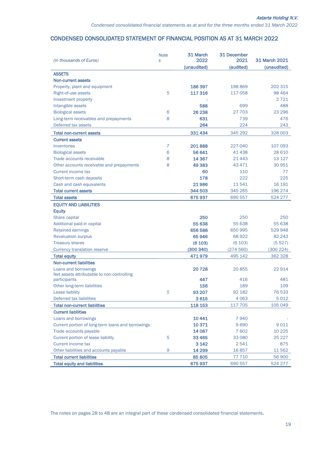## CONDENSED CONSOLIDATED STATEMENT OF FINANCIAL POSITION AS AT 31 MARCH 2022

| (in thousands of Euros)                                    | <b>Note</b><br>S | 31 March<br>2022 | 31 December<br>2021 | 31 March 2021 |
|------------------------------------------------------------|------------------|------------------|---------------------|---------------|
|                                                            |                  | (unaudited)      | (audited)           | (unaudited)   |
| <b>ASSETS</b>                                              |                  |                  |                     |               |
| Non-current assets                                         |                  |                  |                     |               |
| Property, plant and equipment                              |                  | 186 397          | 198869              | 202 315       |
| Right-of-use assets                                        | 5                | 117316           | 117 058             | 98 4 64       |
| Investment property                                        |                  |                  |                     | 2721          |
| Intangible assets                                          |                  | 588              | 699                 | 488           |
| <b>Biological assets</b>                                   | 6                | 26 238           | 27 703              | 23 29 6       |
| Long-term receivables and prepayments                      | 8                | 631              | 739                 | 476           |
| Deferred tax assets                                        |                  | 264              | 224                 | 243           |
| <b>Total non-current assets</b>                            |                  | 331 434          | 345 292             | 328 003       |
| <b>Current assets</b>                                      |                  |                  |                     |               |
| Inventories                                                | 7                | 201888           | 227 040             | 107 093       |
| <b>Biological assets</b>                                   | 6                | 56 641           | 41438               | 28 6 10       |
| Trade accounts receivable                                  | 8                | 14 3 67          | 21443               | 13 127        |
| Other accounts receivable and prepayments                  | 8                | 49 3 83          | 43 471              | 30 951        |
| Current income tax                                         |                  | 60               | 110                 | 77            |
| Short-term cash deposits                                   |                  | 178              | 222                 | 225           |
| Cash and cash equivalents                                  |                  | 21986            | 11541               | 16 191        |
| <b>Total current assets</b>                                |                  | 344 503          | 345 265             | 196 274       |
| <b>Total assets</b>                                        |                  | 675937           | 690 557             | 524 277       |
| <b>EQUITY AND LIABILITIES</b>                              |                  |                  |                     |               |
| <b>Equity</b>                                              |                  |                  |                     |               |
| Share capital                                              |                  | 250              | 250                 | 250           |
| Additional paid-in capital                                 |                  | 55 638           | 55 638              | 55 638        |
| <b>Retained earnings</b>                                   |                  | 656 588          | 650 995             | 529 948       |
| <b>Revaluation surplus</b>                                 |                  | 65946            | 68922               | 82 243        |
| <b>Treasury shares</b>                                     |                  | (6 103)          | (6 103)             | (5527)        |
| <b>Currency translation reserve</b>                        |                  | (300340)         | (274560)            | (300 224)     |
| <b>Total equity</b>                                        |                  | 471979           | 495 142             | 362 328       |
| <b>Non-current liabilities</b>                             |                  |                  |                     |               |
| Loans and borrowings                                       |                  | 20728            | 20855               | 22 914        |
| Net assets attributable to non-controlling<br>participants |                  | 447              | 416                 | 481           |
| Other long-term liabilities                                |                  | 156              | 189                 | 109           |
| Lease liability                                            | 5                | 93 207           | 92 182              | 76533         |
| Deferred tax liabilities                                   |                  | 3615             | 4 0 6 3             | 5012          |
| <b>Total non-current liabilities</b>                       |                  | 118 153          | 117 705             | 105 049       |
| <b>Current liabilities</b>                                 |                  |                  |                     |               |
| Loans and borrowings                                       |                  | 10 4 41          | 7940                |               |
| Current portion of long-term loans and borrowings          |                  | 10 371           | 9690                | 9011          |
| Trade accounts payable                                     |                  | 14 0 87          | 7602                | 10 2 25       |
| Current portion of lease liability                         | 5                | 33 4 65          | 33 080              | 25 227        |
| Current income tax                                         |                  | 3 1 4 2          | 2541                | 875           |
| Other liabilities and accounts payable                     | 9                | 14 299           | 16857               | 11562         |
| <b>Total current liabilities</b>                           |                  | 85 805           | 77 710              | 56 900        |
| <b>Total equity and liabilities</b>                        |                  | 675937           | 690 557             | 524 277       |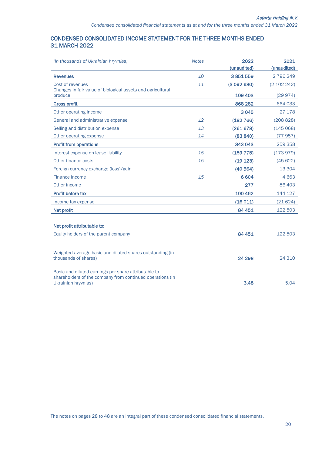## CONDENSED CONSOLIDATED INCOME STATEMENT FOR THE THREE MONTHS ENDED 31 MARCH 2022

| (in thousands of Ukrainian hryvnias)                                                                              | <b>Notes</b> | 2022                   | 2021                   |
|-------------------------------------------------------------------------------------------------------------------|--------------|------------------------|------------------------|
| <b>Revenues</b>                                                                                                   | 10           | (unaudited)<br>3851559 | (unaudited)<br>2796249 |
| Cost of revenues                                                                                                  | 11           | (3092680)              | (2 102 242)            |
| Changes in fair value of biological assets and agricultural                                                       |              |                        |                        |
| produce                                                                                                           |              | 109 403                | (29974)                |
| <b>Gross profit</b>                                                                                               |              | 868 282                | 664 033                |
| Other operating income                                                                                            |              | 3045                   | 27 178                 |
| General and administrative expense                                                                                | 12           | (182 766)              | (208828)               |
| Selling and distribution expense                                                                                  | 13           | (261678)               | (145068)               |
| Other operating expense                                                                                           | 14           | (83 840)               | (77957)                |
| <b>Profit from operations</b>                                                                                     |              | 343 043                | 259 358                |
| Interest expense on lease liability                                                                               | 15           | (189 775)              | (173979)               |
| Other finance costs                                                                                               | 15           | (19 123)               | (45622)                |
| Foreign currency exchange (loss)/gain                                                                             |              | (40564)                | 13 304                 |
| Finance income                                                                                                    | 15           | 6 6 0 4                | 4663                   |
| Other income                                                                                                      |              | 277                    | 86 403                 |
| Profit before tax                                                                                                 |              | 100 462                | 144 127                |
| Income tax expense                                                                                                |              | (16011)                | (21624)                |
| Net profit                                                                                                        |              | 84 451                 | 122 503                |
|                                                                                                                   |              |                        |                        |
| Net profit attributable to:                                                                                       |              |                        |                        |
| Equity holders of the parent company                                                                              |              | 84 451                 | 122 503                |
|                                                                                                                   |              |                        |                        |
| Weighted average basic and diluted shares outstanding (in                                                         |              |                        |                        |
| thousands of shares)                                                                                              |              | 24 298                 | 24 3 10                |
|                                                                                                                   |              |                        |                        |
| Basic and diluted earnings per share attributable to<br>shareholders of the company from continued operations (in |              |                        |                        |
| Ukrainian hryvnias)                                                                                               |              | 3.48                   | 5.04                   |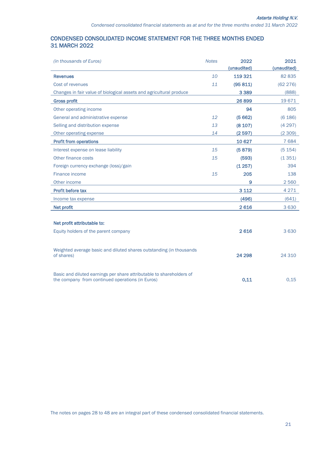## CONDENSED CONSOLIDATED INCOME STATEMENT FOR THE THREE MONTHS ENDED 31 MARCH 2022

| (in thousands of Euros)                                                           | <b>Notes</b> | 2022        | 2021        |
|-----------------------------------------------------------------------------------|--------------|-------------|-------------|
|                                                                                   |              | (unaudited) | (unaudited) |
| <b>Revenues</b>                                                                   | 10           | 119 321     | 82 835      |
| Cost of revenues                                                                  | 11           | (95811)     | (62 276)    |
| Changes in fair value of biological assets and agricultural produce               |              | 3 3 8 9     | (888)       |
| <b>Gross profit</b>                                                               |              | 26899       | 19671       |
| Other operating income                                                            |              | 94          | 805         |
| General and administrative expense                                                | 12           | (5662)      | (6 186)     |
| Selling and distribution expense                                                  | 13           | (8 107)     | (4297)      |
| Other operating expense                                                           | 14           | (2597)      | (2309)      |
| <b>Profit from operations</b>                                                     |              | 10 6 27     | 7684        |
| Interest expense on lease liability                                               | 15           | (5879)      | (5 154)     |
| Other finance costs                                                               | 15           | (593)       | (1351)      |
| Foreign currency exchange (loss)/gain                                             |              | (1257)      | 394         |
| Finance income                                                                    | 15           | 205         | 138         |
| Other income                                                                      |              | 9           | 2560        |
| Profit before tax                                                                 |              | 3 1 1 2     | 4 2 7 1     |
| Income tax expense                                                                |              | (496)       | (641)       |
| <b>Net profit</b>                                                                 |              | 2616        | 3630        |
|                                                                                   |              |             |             |
| Net profit attributable to:                                                       |              |             |             |
| Equity holders of the parent company                                              |              | 2616        | 3630        |
|                                                                                   |              |             |             |
| Weighted average basic and diluted shares outstanding (in thousands<br>of shares) |              | 24 298      | 24 3 10     |
| Basic and diluted earnings per share attributable to shareholders of              |              |             |             |

the company from continued operations (in Euros) 0,11 0,15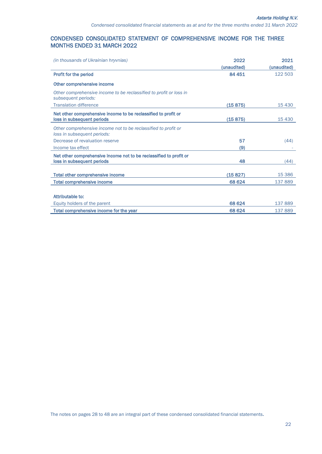#### CONDENSED CONSOLIDATED STATEMENT OF COMPREHENSIVE INCOME FOR THE THREE MONTHS ENDED 31 MARCH 2022

| <i>(in thousands of Ukrainian hryvnias)</i>                                                   | 2022        | 2021        |
|-----------------------------------------------------------------------------------------------|-------------|-------------|
|                                                                                               | (unaudited) | (unaudited) |
| Profit for the period                                                                         | 84 451      | 122 503     |
| Other comprehensive income                                                                    |             |             |
| Other comprehensive income to be reclassified to profit or loss in<br>subsequent periods:     |             |             |
| <b>Translation difference</b>                                                                 | (15875)     | 15 4 30     |
| Net other comprehensive income to be reclassified to profit or                                |             |             |
| loss in subsequent periods                                                                    | (15875)     | 15 4 30     |
| Other comprehensive income not to be reclassified to profit or<br>loss in subsequent periods: |             |             |
| Decrease of revaluation reserve                                                               | 57          | (44)        |
| Income tax effect                                                                             | (9)         |             |
| Net other comprehensive income not to be reclassified to profit or                            |             |             |
| loss in subsequent periods                                                                    | 48          | (44)        |
|                                                                                               |             |             |
| <b>Total other comprehensive income</b>                                                       | (15827)     | 15 3 86     |
| <b>Total comprehensive income</b>                                                             | 68 624      | 137889      |
|                                                                                               |             |             |
| Attributable to:                                                                              |             |             |
| Equity holders of the parent                                                                  | 68 624      | 137889      |
| Total comprehensive income for the year                                                       | 68 624      | 137889      |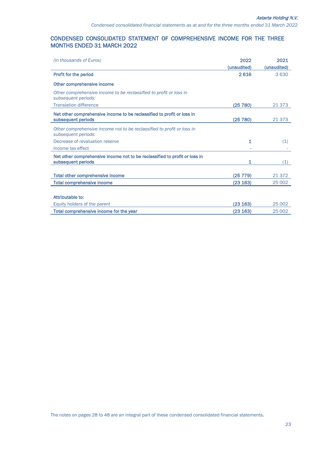#### CONDENSED CONSOLIDATED STATEMENT OF COMPREHENSIVE INCOME FOR THE THREE MONTHS ENDED 31 MARCH 2022

| <i>(in thousands of Euros)</i>                                                                   | 2022        | 2021        |
|--------------------------------------------------------------------------------------------------|-------------|-------------|
|                                                                                                  | (unaudited) | (unaudited) |
| <b>Profit for the period</b>                                                                     | 2616        | 3630        |
| Other comprehensive income                                                                       |             |             |
| Other comprehensive income to be reclassified to profit or loss in<br>subsequent periods:        |             |             |
| <b>Translation difference</b>                                                                    | (25 780)    | 21 3 7 3    |
| Net other comprehensive income to be reclassified to profit or loss in<br>subsequent periods     | (25 780)    | 21 3 7 3    |
| Other comprehensive income not to be reclassified to profit or loss in<br>subsequent periods:    |             |             |
| Decrease of revaluation reserve                                                                  | 1           | (1)         |
| Income tax effect                                                                                |             |             |
| Net other comprehensive income not to be reclassified to profit or loss in<br>subsequent periods | 1           | (1)         |
| Total other comprehensive income                                                                 | (25 779)    | 21 372      |
| <b>Total comprehensive income</b>                                                                | (23 163)    | 25 002      |
| Attributable to:                                                                                 |             |             |
| Equity holders of the parent                                                                     | (23 163)    | 25 002      |
| Total comprehensive income for the year                                                          | (23 163)    | 25 002      |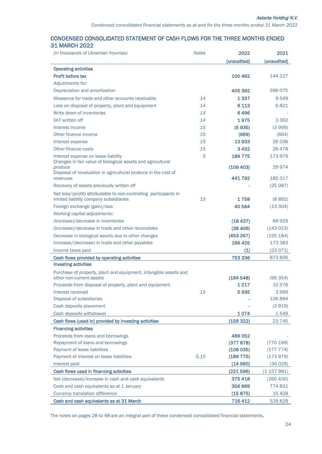#### CONDENSED CONSOLIDATED STATEMENT OF CASH FLOWS FOR THE THREE MONTHS ENDED 31 MARCH 2022

| <i>(in thousands of Ukrainian hryvnias)</i>                                         | <b>Notes</b> | 2022                  | 2021                 |
|-------------------------------------------------------------------------------------|--------------|-----------------------|----------------------|
|                                                                                     |              | (unaudited)           | (unaudited)          |
| <b>Operating activities</b>                                                         |              |                       |                      |
| <b>Profit before tax</b>                                                            |              | 100 462               | 144 127              |
| Adjustments for:                                                                    |              |                       |                      |
| Depreciation and amortization                                                       |              | 405 392               | 396 075              |
| Allowance for trade and other accounts receivable                                   | 14           | 1 3 3 7               | 9549                 |
| Loss on disposal of property, plant and equipment                                   | 14           | 6 1 1 3               | 6821                 |
| Write down of inventories                                                           | 14           | 6496                  |                      |
| VAT written off                                                                     | 14           | 1975                  | 3 3 6 2              |
| Interest income                                                                     | 15           | (5935)                | (3999)               |
| Other finance income                                                                | 15           | (669)                 | (664)                |
| Interest expense                                                                    | 15           | 13933                 | 26 036               |
| Other finance costs                                                                 | 15           | 3432                  | 28 4 7 8             |
| Interest expense on lease liability                                                 | 5            | 189775                | 173979               |
| Changes in fair value of biological assets and agricultural                         |              |                       |                      |
| produce<br>Disposal of revaluation in agricultural produce in the cost of           |              | (109 403)             | 29 974               |
| revenues                                                                            |              | 441792                | 185 317              |
| Recovery of assets previously written off                                           |              |                       | (25087)              |
| Net loss/(profit) attributable to non-controlling participants in                   |              |                       |                      |
| limited liability company subsidiaries                                              | 15           | 1758                  | (8892)               |
| Foreign exchange (gain)/loss                                                        |              | 40 5 64               | (13304)              |
| Working capital adjustments:                                                        |              |                       |                      |
| (Increase)/decrease in inventories                                                  |              | (18437)               | 69929                |
| (Increase)/decrease in trade and other receivables                                  |              | (38, 406)             | (143023)             |
| Decrease in biological assets due to other changes                                  |              | (453 267)             | (155 184)            |
| Increase/(decrease) in trade and other payables                                     |              | 166 425               | 173 383              |
| Income taxes paid                                                                   |              | (1)                   | (23071)              |
| Cash flows provided by operating activities                                         |              | 753 336               | 873806               |
| <b>Investing activities</b>                                                         |              |                       |                      |
| Purchase of property, plant and equipment, intangible assets and                    |              |                       |                      |
| other non-current assets                                                            |              | (164548)              | (95354)              |
| Proceeds from disposal of property, plant and equipment                             |              | 1 2 1 7               | 10576                |
| Interest received                                                                   | 15           | 5935                  | 3999                 |
| Disposal of subsidiaries                                                            |              |                       | 106 894              |
| Cash deposits placement                                                             |              |                       | (3919)               |
| Cash deposits withdrawal                                                            |              | 1074                  | 1549                 |
| Cash flows (used in) provided by investing activities                               |              | (156 322)             | 23 745               |
| <b>Financing activities</b>                                                         |              |                       |                      |
| Proceeds from loans and borrowings                                                  |              | 469 052               |                      |
| Repayment of loans and borrowings                                                   |              | (377 878)             | (770 199)            |
| Payment of lease liabilities<br>Payment of interest on lease liabilities            | 5,15         | (108035)<br>(189 775) | (177774)<br>(173979) |
| Interest paid                                                                       |              |                       |                      |
| Cash flows used in financing activities                                             |              | (14960)<br>(221596)   | (36029)<br>(1157981) |
| Net (decrease)/increase in cash and cash equivalents                                |              | 375418                | (260 430)            |
|                                                                                     |              |                       |                      |
| Cash and cash equivalents as at 1 January<br><b>Currency translation difference</b> |              | 356869                | 774 831              |
|                                                                                     |              | (15875)               | 15428                |
| Cash and cash equivalents as at 31 March                                            |              | 716412                | 529829               |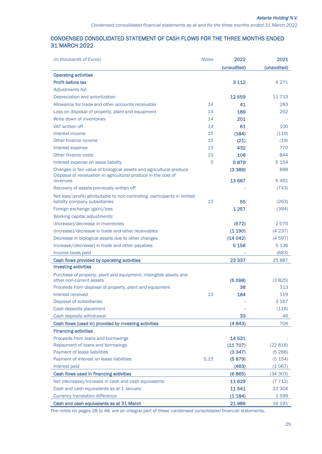## CONDENSED CONSOLIDATED STATEMENT OF CASH FLOWS FOR THE THREE MONTHS ENDED 31 MARCH 2022

| (in thousands of Euros)                                                                                     | <b>Notes</b> | 2022        | 2021        |
|-------------------------------------------------------------------------------------------------------------|--------------|-------------|-------------|
|                                                                                                             |              | (unaudited) | (unaudited) |
| <b>Operating activities</b>                                                                                 |              |             |             |
| <b>Profit before tax</b>                                                                                    |              | 3 1 1 2     | 4 2 7 1     |
| Adjustments for:                                                                                            |              |             |             |
| Depreciation and amortization                                                                               |              | 12 5 5 9    | 11 7 3 3    |
| Allowance for trade and other accounts receivable                                                           | 14           | 41          | 283         |
| Loss on disposal of property, plant and equipment                                                           | 14           | 189         | 202         |
| Write down of inventories                                                                                   | 14           | 201         |             |
| VAT written off                                                                                             | 14           | 61          | 100         |
| Interest income                                                                                             | 15           | (184)       | (119)       |
| Other finance income                                                                                        | 15           | (21)        | (19)        |
| Interest expense                                                                                            | 15           | 432         | 770         |
| Other finance costs                                                                                         | 15           | 106         | 844         |
| Interest expense on lease liability                                                                         | 5            | 5879        | 5 1 5 4     |
| Changes in fair value of biological assets and agricultural produce                                         |              | (3389)      | 888         |
| Disposal of revaluation in agricultural produce in the cost of                                              |              |             |             |
| revenues                                                                                                    |              | 13687       | 5491        |
| Recovery of assets previously written off                                                                   |              |             | (743)       |
| Net loss/(profit) attributable to non-controlling participants in limited<br>liability company subsidiaries | 15           | 55          | (263)       |
| Foreign exchange (gain)/loss                                                                                |              | 1 2 5 7     | (394)       |
| Working capital adjustments:                                                                                |              |             |             |
| (Increase)/decrease in inventories                                                                          |              | (572)       | 2070        |
| (Increase)/decrease in trade and other receivables                                                          |              | (1190)      | (4237)      |
| Decrease in biological assets due to other changes                                                          |              | (14042)     | (4597)      |
| Increase/(decrease) in trade and other payables                                                             |              | 5 1 5 6     | 5 1 3 6     |
|                                                                                                             |              |             | (683)       |
| Income taxes paid                                                                                           |              | 23 3 3 7    | 25 8 87     |
| Cash flows provided by operating activities<br><b>Investing activities</b>                                  |              |             |             |
|                                                                                                             |              |             |             |
| Purchase of property, plant and equipment, intangible assets and<br>other non-current assets                |              | (5098)      | (2825)      |
| Proceeds from disposal of property, plant and equipment                                                     |              | 38          | 313         |
| Interest received                                                                                           | 15           | 184         | 119         |
| Disposal of subsidiaries                                                                                    |              |             | 3 1 6 7     |
| Cash deposits placement                                                                                     |              |             | (116)       |
| Cash deposits withdrawal                                                                                    |              | 33          | 46          |
| Cash flows (used in) provided by investing activities                                                       |              | (4843)      | 704         |
| <b>Financing activities</b>                                                                                 |              |             |             |
| Proceeds from loans and borrowings                                                                          |              | 14531       |             |
| Repayment of loans and borrowings                                                                           |              | (11707)     | (22816)     |
| Payment of lease liabilities                                                                                |              | (3347)      | (5266)      |
| Payment of interest on lease liabilities                                                                    | 5,15         | (5879)      | (5 154)     |
| Interest paid                                                                                               |              | (463)       | (1067)      |
| Cash flows used in financing activities                                                                     |              | (6865)      | (34303)     |
| Net (decrease)/increase in cash and cash equivalents                                                        |              | 11629       | (7712)      |
| Cash and cash equivalents as at 1 January                                                                   |              | 11541       | 22 304      |
| <b>Currency translation difference</b>                                                                      |              | (1184)      | 1599        |
| Cash and cash equivalents as at 31 March                                                                    |              | 21986       | 16 191      |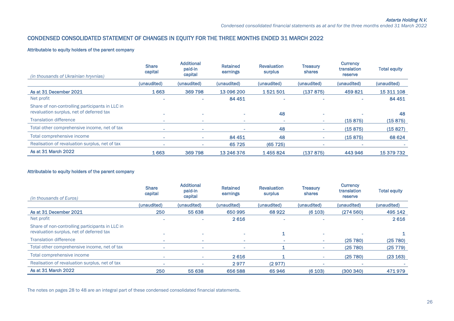## CONDENSED СONSOLIDATED STATEMENT OF CHANGES IN EQUITY FOR THE THREE MONTHS ENDED 31 MARCH 2022

#### Attributable to equity holders of the parent company

| (in thousands of Ukrainian hryvnias)                                                        | <b>Share</b><br>capital | <b>Additional</b><br>paid-in<br>capital | <b>Retained</b><br>earnings | <b>Revaluation</b><br>surplus | <b>Treasury</b><br>shares | Currency<br>translation<br>reserve | <b>Total equity</b> |
|---------------------------------------------------------------------------------------------|-------------------------|-----------------------------------------|-----------------------------|-------------------------------|---------------------------|------------------------------------|---------------------|
|                                                                                             | (unaudited)             | (unaudited)                             | (unaudited)                 | (unaudited)                   | (unaudited)               | (unaudited)                        | (unaudited)         |
| As at 31 December 2021                                                                      | 1663                    | 369798                                  | 13 096 200                  | 1521501                       | (137 875)                 | 459821                             | 15 311 108          |
| Net profit                                                                                  |                         |                                         | 84 451                      |                               |                           |                                    | 84 451              |
| Share of non-controlling participants in LLC in<br>revaluation surplus, net of deferred tax |                         | $\sim$                                  |                             | 48                            | $\sim$                    |                                    | 48                  |
| <b>Translation difference</b>                                                               | ۰                       | $\sim$                                  | ۰                           | $\sim$                        | $\sim$                    | (15875)                            | (15875)             |
| Total other comprehensive income, net of tax                                                | ۰                       | $\sim$                                  |                             | 48                            | ۰.                        | (15875)                            | (15827)             |
| Total comprehensive income                                                                  | ۰                       | $\sim$                                  | 84 451                      | 48                            | $\sim$                    | (15875)                            | 68 624              |
| Realisation of revaluation surplus, net of tax                                              |                         |                                         | 65 7 25                     | (65725)                       |                           |                                    |                     |
| As at 31 March 2022                                                                         | 1663                    | 369798                                  | 13 246 376                  | 1455824                       | (137 875)                 | 443 946                            | 15 379 732          |

#### Attributable to equity holders of the parent company

| (in thousands of Euros)                                                                     | <b>Share</b><br>capital | <b>Additional</b><br>paid-in<br>capital | Retained<br>earnings | <b>Revaluation</b><br>surplus | <b>Treasury</b><br>shares | <b>Currency</b><br>translation<br>reserve | <b>Total equity</b> |
|---------------------------------------------------------------------------------------------|-------------------------|-----------------------------------------|----------------------|-------------------------------|---------------------------|-------------------------------------------|---------------------|
|                                                                                             | (unaudited)             | (unaudited)                             | (unaudited)          | (unaudited)                   | (unaudited)               | (unaudited)                               | (unaudited)         |
| As at 31 December 2021                                                                      | 250                     | 55 638                                  | 650 995              | 68922                         | (6103)                    | (274560)                                  | 495 142             |
| Net profit                                                                                  |                         |                                         | 2616                 |                               |                           |                                           | 2616                |
| Share of non-controlling participants in LLC in<br>revaluation surplus, net of deferred tax |                         | $\sim$                                  | ۰                    |                               |                           |                                           |                     |
| <b>Translation difference</b>                                                               |                         | $\sim$                                  | ۰                    |                               |                           | (25780)                                   | (25 780)            |
| Total other comprehensive income, net of tax                                                | ۰                       | $\sim$                                  | ۰                    |                               |                           | (25780)                                   | (25 779)            |
| Total comprehensive income                                                                  | ۰                       | <b>Service</b>                          | 2616                 |                               | ×.                        | (25 780)                                  | (23 163)            |
| Realisation of revaluation surplus, net of tax                                              | ۰                       |                                         | 2977                 | (2977)                        |                           |                                           |                     |
| As at 31 March 2022                                                                         | 250                     | 55 638                                  | 656 588              | 65946                         | (6103)                    | (300340)                                  | 471979              |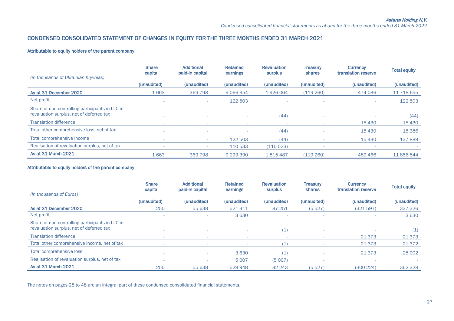## CONDENSED СONSOLIDATED STATEMENT OF CHANGES IN EQUITY FOR THE THREE MONTHS ENDED 31 MARCH 2021

#### Attributable to equity holders of the parent company

| (in thousands of Ukrainian hryvnias)                                                        | <b>Share</b><br>capital | <b>Additional</b><br>paid-in capital | <b>Retained</b><br>earnings | <b>Revaluation</b><br>surplus | <b>Treasurv</b><br>shares | <b>Currency</b><br>translation reserve | <b>Total equity</b> |
|---------------------------------------------------------------------------------------------|-------------------------|--------------------------------------|-----------------------------|-------------------------------|---------------------------|----------------------------------------|---------------------|
|                                                                                             | (unaudited)             | (unaudited)                          | (unaudited)                 | (unaudited)                   | (unaudited)               | (unaudited)                            | (unaudited)         |
| As at 31 December 2020                                                                      | 1663                    | 369 798                              | 9 0 6 6 3 5 4               | 1926064                       | (119260)                  | 474 036                                | 11 718 655          |
| Net profit                                                                                  |                         | <b>COL</b>                           | 122 503                     |                               |                           |                                        | 122 503             |
| Share of non-controlling participants in LLC in<br>revaluation surplus, net of deferred tax |                         |                                      |                             | (44)                          |                           |                                        | (44)                |
| <b>Translation difference</b>                                                               |                         | $\sim$                               | ٠<br>٠                      |                               |                           | 15 4 30                                | 15 4 30             |
| Total other comprehensive loss, net of tax                                                  |                         | $\overline{\phantom{a}}$             |                             | (44)                          |                           | 15 4 30                                | 15 3 86             |
| Total comprehensive income                                                                  |                         |                                      | 122 503                     | (44)                          | $\sim$                    | 15 4 30                                | 137889              |
| Realisation of revaluation surplus, net of tax                                              |                         | $\overline{\phantom{a}}$             | 110 533                     | (110533)                      |                           |                                        |                     |
| As at 31 March 2021                                                                         | 1663                    | 369 798                              | 9 299 390                   | 1815487                       | (119260)                  | 489 466                                | 11 856 544          |

#### Attributable to equity holders of the parent company

|                                                 | <b>Share</b><br>capital | <b>Additional</b><br>paid-in capital | <b>Retained</b><br>earnings | <b>Revaluation</b><br>surplus | <b>Treasury</b><br>shares | <b>Currency</b><br>translation reserve | <b>Total equity</b> |
|-------------------------------------------------|-------------------------|--------------------------------------|-----------------------------|-------------------------------|---------------------------|----------------------------------------|---------------------|
| (in thousands of Euros)                         |                         |                                      |                             |                               |                           |                                        |                     |
|                                                 | (unaudited)             | (unaudited)                          | (unaudited)                 | (unaudited)                   | (unaudited)               | (unaudited)                            | (unaudited)         |
| As at 31 December 2020                          | 250                     | 55 638                               | 521311                      | 87 251                        | (5527)                    | (321597)                               | 337 326             |
| Net profit                                      |                         |                                      | 3630                        |                               |                           |                                        | 3630                |
| Share of non-controlling participants in LLC in |                         |                                      |                             |                               |                           |                                        |                     |
| revaluation surplus, net of deferred tax        |                         | ٠                                    |                             | (1)                           |                           |                                        | (1)                 |
| <b>Translation difference</b>                   |                         |                                      |                             |                               |                           | 21 3 7 3                               | 21 3 7 3            |
| Total other comprehensive income, net of tax    |                         | $\sim$                               | $\sim$                      | (1)                           |                           | 21 3 7 3                               | 21 372              |
| Total comprehensive loss                        |                         |                                      | 3630                        | (1)                           |                           | 21 3 7 3                               | 25 002              |
| Realisation of revaluation surplus, net of tax  |                         |                                      | 5 0 0 7                     | (5007)                        |                           |                                        |                     |
| As at 31 March 2021                             | 250                     | 55 638                               | 529948                      | 82 243                        | (5527)                    | (300224)                               | 362 328             |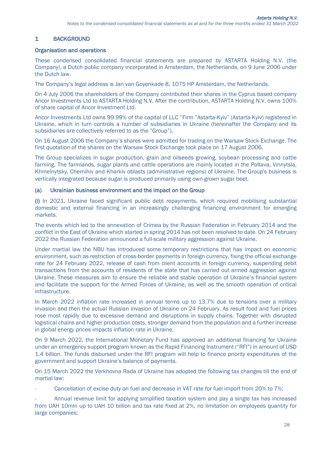# 1 BACKGROUND

#### Organisation and operations

These condensed consolidated financial statements are prepared by ASTARTA Holding N.V. (the Company), a Dutch public company incorporated in Amsterdam, the Netherlands, on 9 June 2006 under the Dutch law.

The Company's legal address is Jan van Goyenkade 8, 1075 HP Amsterdam, the Netherlands.

On 4 July 2006 the shareholders of the Company contributed their shares in the Cyprus based company Ancor Investments Ltd to ASTARTA Holding N.V. After the contribution, ASTARTA Holding N.V. owns 100% of share capital of Ancor Investment Ltd.

Ancor Investments Ltd owns 99.99% of the capital of LLC "Firm "Astarta-Kyiv" (Astarta-Kyiv) registered in Ukraine, which in turn controls а number of subsidiaries in Ukraine (hereinafter the Company and its subsidiaries are collectively referred to as the "Group").

On 16 August 2006 the Company's shares were admitted for trading on the Warsaw Stock Exchange. The first quotation of the shares on the Warsaw Stock Exchange took place on 17 August 2006.

The Group specializes in sugar production, grain and oilseeds growing, soybean processing and [cattle](http://www.multitran.ru/c/m.exe?t=615449_1_2&ifp=1)  [farming.](http://www.multitran.ru/c/m.exe?t=615449_1_2&ifp=1) The farmlands, sugar plants and cattle operations are mainly located in the Poltava, Vinnytsia, Khmelnytsky, Chernihiv and Kharkiv oblasts (administrative regions) of Ukraine. The Group's business is vertically integrated because sugar is produced primarily using own-grown sugar beet.

#### (a) Ukrainian business environment and the impact on the Group

(i) In 2021, Ukraine faced significant public debt repayments, which required mobilising substantial domestic and external financing in an increasingly challenging financing environment for emerging markets.

The events which led to the annexation of Crimea by the Russian Federation in February 2014 and the conflict in the East of Ukraine which started in spring 2014 has not been resolved to date. On 24 February 2022 the Russian Federation announced a full-scale military aggression against Ukraine.

Under martial law the NBU has introduced some temporary restrictions that has impact on economic environment, such as restriction of cross-border payments in foreign currency, fixing the official exchange rate for 24 February 2022, release of cash from client accounts in foreign currency, suspending debit transactions from the accounts of residents of the state that has carried out armed aggression against Ukraine. These measures aim to ensure the reliable and stable operation of Ukraine's financial system and facilitate the support for the Armed Forces of Ukraine, as well as the smooth operation of critical infrastructure.

In March 2022 inflation rate increased in annual terms up to 13.7% due to tensions over a military invasion and then the actual Russian invasion of Ukraine on 24 February. As result food and fuel prices rose most rapidly due to excessive demand and disruptions in supply chains. Together with disrupted logistical chains and higher production costs, stronger demand from the population and a further increase in global energy prices impacts inflation rate in Ukraine.

On 9 March 2022, the International Monetary Fund has approved an additional financing for Ukraine under an emergency support program known as the Rapid Financing Instrument ("RFI") in amount of USD 1.4 billion. The funds disbursed under the RFI program will help to finance priority expenditures of the government and support Ukraine's balance of payments.

On 15 March 2022 the Verkhovna Rada of Ukraine has adopted the following tax changes till the end of martial law:

Cancellation of excise duty on fuel and decrease in VAT rate for fuel import from 20% to 7%;

- Annual revenue limit for applying simplified taxation system and pay a single tax has increased from UAH 10mln up to UAH 10 billion and tax rate fixed at 2%, no limitation on employees quantity for large companies;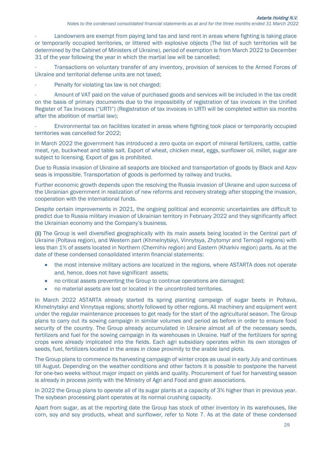Landowners are exempt from paying land tax and land rent in areas where fighting is taking place or temporarily occupied territories, or littered with explosive objects (The list of such territories will be determined by the Cabinet of Ministers of Ukraine), period of exemption is from March 2022 to December 31 of the year following the year in which the martial law will be cancelled;

Transactions on voluntary transfer of any inventory, provision of services to the Armed Forces of Ukraine and territorial defense units are not taxed;

Penalty for violating tax law is not charged;

- Amount of VAT paid on the value of purchased goods and services will be included in the tax credit on the basis of primary documents due to the impossibility of registration of tax invoices in the Unified Register of Tax Invoices ("URTI") (Registration of tax invoices in URTI will be completed within six months after the abolition of martial law);

- Environmental tax on facilities located in areas where fighting took place or temporarily occupied territories was cancelled for 2022;

In March 2022 the government has introduced a zero quota on export of mineral fertilizers, cattle, cattle meat, rye, buckwheat and table salt. Export of wheat, chicken meat, eggs, sunflower oil, millet, sugar are subject to licensing. Export of gas is prohibited.

Due to Russia invasion of Ukraine all seaports are blocked and transportation of goods by Black and Azov seas is impossible. Transportation of goods is performed by railway and trucks.

Further economic growth depends upon the resolving the Russia invasion of Ukraine and upon success of the Ukrainian government in realization of new reforms and recovery strategy after stopping the invasion, cooperation with the international funds.

Despite certain improvements in 2021, the ongoing political and economic uncertainties are difficult to predict due to Russia military invasion of Ukrainian territory in February 2022 and they significantly affect the Ukrainian economy and the Company's business.

(ii) The Group is well diversified geographically with its main assets being located in the Central part of Ukraine (Poltava region), and Western part (Khmelnytskyi, Vinnytsya, Zhytomyr and Ternopil regions) with less than 1% of assets located in Northern (Chernihiv region) and Eastern (Kharkiv region) parts. As at the date of these condensed consolidated interim financial statements:

- the most intensive military actions are localized in the regions, where ASTARTA does not operate and, hence, does not have significant assets;
- no critical assets preventing the Group to continue operations are damaged;
- no material assets are lost or located in the uncontrolled territories.

In March 2022 ASTARTA already started its spring planting campaign of sugar beets in Poltava, Khmelnytskyi and Vinnytsya regions; shortly followed by other regions. All machinery and equipment went under the regular maintenance processes to get ready for the start of the agricultural season. The Group plans to carry out its sowing campaign in similar volumes and period as before in order to ensure food security of the country. The Group already accumulated in Ukraine almost all of the necessary seeds, fertilizers and fuel for the sowing campaign in its warehouses in Ukraine. Half of the fertilizers for spring crops were already implicated into the fields. Each agri subsidiary operates within its own storages of seeds, fuel, fertilizers located in the areas in close proximity to the arable land plots.

The Group plans to commence its harvesting campaign of winter crops as usual in early July and continues till August. Depending on the weather conditions and other factors it is possible to postpone the harvest for one-two weeks without major impact on yields and quality. Procurement of fuel for harvesting season is already in process jointly with the Ministry of Agri and Food and grain associations.

In 2022 the Group plans to operate all of its sugar plants at a capacity of 3% higher than in previous year. The soybean processing plant operates at its normal crushing capacity.

Apart from sugar, as at the reporting date the Group has stock of other inventory in its warehouses, like corn, soy and soy products, wheat and sunflower, refer to Note 7. As at the date of these condensed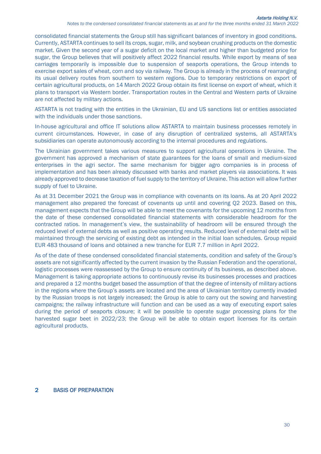consolidated financial statements the Group still has significant balances of inventory in good conditions. Currently, ASTARTA continues to sell its crops, sugar, milk, and soybean crushing products on the domestic market. Given the second year of a sugar deficit on the local market and higher than budgeted price for sugar, the Group believes that will positively affect 2022 financial results. While export by means of sea carriages temporarily is impossible due to suspension of seaports operations, the Group intends to exercise export sales of wheat, corn and soy via railway. The Group is already in the process of rearranging its usual delivery routes from southern to western regions. Due to temporary restrictions on export of certain agricultural products, on 14 March 2022 Group obtain its first license on export of wheat, which it plans to transport via Western border. Transportation routes in the Central and Western parts of Ukraine are not affected by military actions.

ASTARTA is not trading with the entities in the Ukrainian, EU and US sanctions list or entities associated with the individuals under those sanctions.

In-house agricultural and office IT solutions allow ASTARTA to maintain business processes remotely in current circumstances. However, in case of any disruption of centralized systems, all ASTARTA's subsidiaries can operate autonomously according to the internal procedures and regulations.

The Ukrainian government takes various measures to support agricultural operations in Ukraine. The government has approved a mechanism of state guarantees for the loans of small and medium-sized enterprises in the agri sector. The same mechanism for bigger agro companies is in process of implementation and has been already discussed with banks and market players via associations. It was already approved to decrease taxation of fuel supply to the territory of Ukraine. This action will allow further supply of fuel to Ukraine.

As at 31 December 2021 the Group was in compliance with covenants on its loans. As at 20 April 2022 management also prepared the forecast of covenants up until and covering Q2 2023. Based on this, management expects that the Group will be able to meet the covenants for the upcoming 12 months from the date of these condensed consolidated financial statements with considerable headroom for the contracted ratios. In management's view, the sustainability of headroom will be ensured through the reduced level of external debts as well as positive operating results. Reduced level of external debt will be maintained through the servicing of existing debt as intended in the initial loan schedules. Group repaid EUR 483 thousand of loans and obtained a new tranche for EUR 7.7 million in April 2022.

As of the date of these condensed consolidated financial statements, condition and safety of the Group's assets are not significantly affected by the current invasion by the Russian Federation and the operational, logistic processes were reassessed by the Group to ensure continuity of its business, as described above. Management is taking appropriate actions to continuously revise its businesses processes and practices and prepared a 12 months budget based the assumption of that the degree of intensity of military actions in the regions where the Group's assets are located and the area of Ukrainian territory currently invaded by the Russian troops is not largely increased; the Group is able to carry out the sowing and harvesting campaigns; the railway infrastructure will function and can be used as a way of executing export sales during the period of seaports closure; it will be possible to operate sugar processing plans for the harvested sugar beet in 2022/23; the Group will be able to obtain export licenses for its certain agricultural products.

#### 2 BASIS OF PREPARATION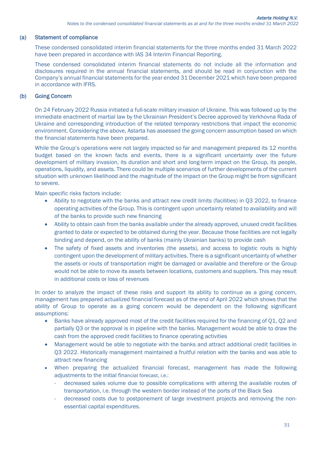#### (a) Statement of compliance

These condensed consolidated interim financial statements for the three months ended 31 March 2022 have been prepared in accordance with IAS 34 Interim Financial Reporting.

These condensed consolidated interim financial statements do not include all the information and disclosures required in the annual financial statements, and should be read in conjunction with the Company's annual financial statements for the year ended 31 December 2021 which have been prepared in accordance with IFRS.

## (b) Going Concern

On 24 February 2022 Russia initiated a full-scale military invasion of Ukraine. This was followed up by the immediate enactment of martial law by the Ukrainian President's Decree approved by Verkhovna Rada of Ukraine and corresponding introduction of the related temporary restrictions that impact the economic environment. Considering the above, Astarta has assessed the going concern assumption based on which the financial statements have been prepared.

While the Group's operations were not largely impacted so far and management prepared its 12 months budget based on the known facts and events, there is a significant uncertainty over the future development of military invasion, its duration and short and long-term impact on the Group, its people, operations, liquidity, and assets. There could be multiple scenarios of further developments of the current situation with unknown likelihood and the magnitude of the impact on the Group might be from significant to severe.

Main specific risks factors include:

- Ability to negotiate with the banks and attract new credit limits (facilities) in Q3 2022, to finance operating activities of the Group. This is contingent upon uncertainty related to availability and will of the banks to provide such new financing
- Ability to obtain cash from the banks available under the already approved, unused credit facilities granted to date or expected to be obtained during the year. Because those facilities are not legally binding and depend, on the ability of banks (mainly Ukrainian banks) to provide cash
- The safety of fixed assets and inventories (the assets), and access to logistic routs is highly contingent upon the development of military activities. There is a significant uncertainty of whether the assets or routs of transportation might be damaged or available and therefore or the Group would not be able to move its assets between locations, customers and suppliers. This may result in additional costs or loss of revenues

In order to analyze the impact of these risks and support its ability to continue as a going concern, management has prepared actualized financial forecast as of the end of April 2022 which shows that the ability of Group to operate as a going concern would be dependent on the following significant assumptions:

- Banks have already approved most of the credit facilities required for the financing of Q1, Q2 and partially Q3 or the approval is in pipeline with the banks. Management would be able to draw the cash from the approved credit facilities to finance operating activities
- Management would be able to negotiate with the banks and attract additional credit facilities in Q3 2022. Historically management maintained a fruitful relation with the banks and was able to attract new financing
- When preparing the actualized financial forecast, management has made the following adjustments to the initial financial forecast, i.e.:
	- decreased sales volume due to possible complications with altering the available routes of transportation, i.e. through the western border instead of the ports of the Black Sea
	- decreased costs due to postponement of large investment projects and removing the nonessential capital expenditures.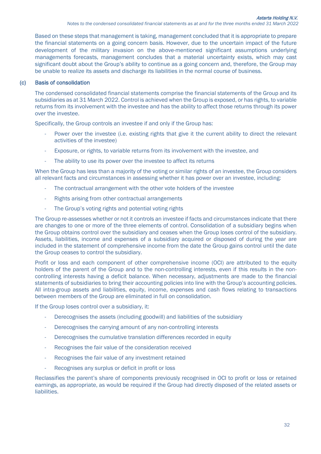Based on these steps that management is taking, management concluded that it is appropriate to prepare the financial statements on a going concern basis. However, due to the uncertain impact of the future development of the military invasion on the above-mentioned significant assumptions underlying managements forecasts, management concludes that a material uncertainty exists, which may cast significant doubt about the Group's ability to continue as a going concern and, therefore, the Group may be unable to realize its assets and discharge its liabilities in the normal course of business.

## (c) Basis of consolidation

The condensed consolidated financial statements comprise the financial statements of the Group and its subsidiaries as at 31 March 2022. Control is achieved when the Group is exposed, or has rights, to variable returns from its involvement with the investee and has the ability to affect those returns through its power over the investee.

Specifically, the Group controls an investee if and only if the Group has:

- Power over the investee (i.e. existing rights that give it the current ability to direct the relevant activities of the investee)
- Exposure, or rights, to variable returns from its involvement with the investee, and
- The ability to use its power over the investee to affect its returns

When the Group has less than a majority of the voting or similar rights of an investee, the Group considers all relevant facts and circumstances in assessing whether it has power over an investee, including:

- The contractual arrangement with the other vote holders of the investee
- Rights arising from other contractual arrangements
- The Group's voting rights and potential voting rights

The Group re-assesses whether or not it controls an investee if facts and circumstances indicate that there are changes to one or more of the three elements of control. Consolidation of a subsidiary begins when the Group obtains control over the subsidiary and ceases when the Group loses control of the subsidiary. Assets, liabilities, income and expenses of a subsidiary acquired or disposed of during the year are included in the statement of comprehensive income from the date the Group gains control until the date the Group ceases to control the subsidiary.

Profit or loss and each component of other comprehensive income (OCI) are attributed to the equity holders of the parent of the Group and to the non-controlling interests, even if this results in the noncontrolling interests having a deficit balance. When necessary, adjustments are made to the financial statements of subsidiaries to bring their accounting policies into line with the Group's accounting policies. All intra-group assets and liabilities, equity, income, expenses and cash flows relating to transactions between members of the Group are eliminated in full on consolidation.

If the Group loses control over a subsidiary, it:

- Derecognises the assets (including goodwill) and liabilities of the subsidiary
- Derecognises the carrying amount of any non-controlling interests
- Derecognises the cumulative translation differences recorded in equity
- Recognises the fair value of the consideration received
- Recognises the fair value of any investment retained
- Recognises any surplus or deficit in profit or loss

Reclassifies the parent's share of components previously recognised in OCI to profit or loss or retained earnings, as appropriate, as would be required if the Group had directly disposed of the related assets or liabilities.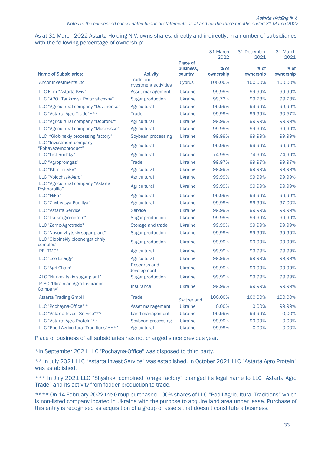As at 31 March 2022 Astarta Holding N.V. owns shares, directly and indirectly, in a number of subsidiaries with the following percentage of ownership:

|                                                     |                                           |                      | 31 March<br>2022  | 31 December<br>2021 | 31 March<br>2021  |
|-----------------------------------------------------|-------------------------------------------|----------------------|-------------------|---------------------|-------------------|
|                                                     |                                           | <b>Place of</b>      |                   |                     |                   |
| <b>Name of Subsidiaries:</b>                        | <b>Activity</b>                           | business,<br>country | % of<br>ownership | % of<br>ownership   | % of<br>ownership |
| <b>Ancor Investments Ltd</b>                        | <b>Trade and</b><br>investment activities | Cyprus               | 100,00%           | 100,00%             | 100,00%           |
| LLC Firm "Astarta-Kyiv"                             | Asset management                          | <b>Ukraine</b>       | 99,99%            | 99,99%              | 99,99%            |
| LLC "APO "Tsukrovyk Poltavshchyny"                  | Sugar production                          | <b>Ukraine</b>       | 99,73%            | 99,73%              | 99,73%            |
| LLC "Agricultural company "Dovzhenko"               | Agricultural                              | <b>Ukraine</b>       | 99,99%            | 99,99%              | 99,99%            |
| LLC "Astarta Agro Trade"***                         | <b>Trade</b>                              | <b>Ukraine</b>       | 99,99%            | 99,99%              | 90,57%            |
| LLC "Agricultural company "Dobrobut"                | Agricultural                              | Ukraine              | 99,99%            | 99,99%              | 99,99%            |
| LLC "Agricultural company "Musievske"               | Agricultural                              | <b>Ukraine</b>       | 99,99%            | 99,99%              | 99,99%            |
| LLC "Globinskiy processing factory"                 | Soybean processing                        | Ukraine              | 99,99%            | 99,99%              | 99,99%            |
| LLC "Investment company<br>"Poltavazernoproduct"    | Agricultural                              | <b>Ukraine</b>       | 99,99%            | 99,99%              | 99,99%            |
| LLC "List-Ruchky"                                   | Agricultural                              | <b>Ukraine</b>       | 74,99%            | 74,99%              | 74,99%            |
| LLC "Agropromgaz"                                   | Trade                                     | <b>Ukraine</b>       | 99,97%            | 99,97%              | 99,97%            |
| LLC "Khmilnitske"                                   | Agricultural                              | <b>Ukraine</b>       | 99,99%            | 99,99%              | 99,99%            |
| LLC "Volochysk-Agro"                                | Agricultural                              | <b>Ukraine</b>       | 99,99%            | 99,99%              | 99,99%            |
| LLC "Agricultural company "Astarta<br>Prykhorollia" | Agricultural                              | <b>Ukraine</b>       | 99,99%            | 99,99%              | 99,99%            |
| LLC "Nika"                                          | Agricultural                              | <b>Ukraine</b>       | 99,99%            | 99,99%              | 99,99%            |
| LLC "Zhytnytsya Podillya"                           | Agricultural                              | <b>Ukraine</b>       | 99,99%            | 99,99%              | 97,00%            |
| LLC "Astarta Service"                               | <b>Service</b>                            | <b>Ukraine</b>       | 99,99%            | 99,99%              | 99,99%            |
| LLC "Tsukragromprom"                                | <b>Sugar production</b>                   | <b>Ukraine</b>       | 99,99%            | 99,99%              | 99,99%            |
| LLC "Zerno-Agrotrade"                               | Storage and trade                         | <b>Ukraine</b>       | 99,99%            | 99,99%              | 99,99%            |
| LLC "Novoorzhytskiy sugar plant"                    | <b>Sugar production</b>                   | <b>Ukraine</b>       | 99,99%            | 99,99%              | 99,99%            |
| LLC "Globinskiy bioenergetichniy<br>complex"        | <b>Sugar production</b>                   | <b>Ukraine</b>       | 99,99%            | 99,99%              | 99,99%            |
| PE "TMG"                                            | Agricultural                              | <b>Ukraine</b>       | 99,99%            | 99,99%              | 99,99%            |
| LLC "Eco Energy"                                    | Agricultural                              | <b>Ukraine</b>       | 99,99%            | 99,99%              | 99,99%            |
| LLC "Agri Chain"                                    | Research and<br>development               | <b>Ukraine</b>       | 99,99%            | 99,99%              | 99,99%            |
| ALC "Narkevitskiy sugar plant"                      | <b>Sugar production</b>                   | <b>Ukraine</b>       | 99,99%            | 99,99%              | 99,99%            |
| PJSC "Ukrainian Agro-Insurance"<br>Company"         | Insurance                                 | <b>Ukraine</b>       | 99,99%            | 99,99%              | 99,99%            |
| <b>Astarta Trading GmbH</b>                         | Trade                                     | <b>Switzerland</b>   | 100,00%           | 100,00%             | 100,00%           |
| LLC "Pochayna-Office" *                             | Asset management                          | <b>Ukraine</b>       | 0,00%             | 0,00%               | 99,99%            |
| LLC "Astarta Invest Service"**                      | Land management                           | <b>Ukraine</b>       | 99,99%            | 99,99%              | 0,00%             |
| LLC "Astarta Agro Protein"**                        | Soybean processing                        | <b>Ukraine</b>       | 99,99%            | 99,99%              | 0.00%             |
| LLC "Podil Agricultural Traditions"****             | Agricultural                              | Ukraine              | 99,99%            | 0.00%               | 0,00%             |

Place of business of all subsidiaries has not changed since previous year.

\*In September 2021 LLC "Pochayna-Office" was disposed to third party.

\*\* In July 2021 LLC "Astarta Invest Service" was established. In October 2021 LLC "Astarta Agro Protein" was established.

\*\*\* In July 2021 LLC "Shyshaki combined forage factory" changed its legal name to LLC "Astarta Agro Trade" and its activity from fodder production to trade.

\*\*\*\* On 14 February 2022 the Group purchased 100% shares of LLC "Podil Agricultural Traditions" which is non-listed company located in Ukraine with the purpose to acquire land area under lease. Purchase of this entity is recognised as acquisition of a group of assets that doesn't constitute a business.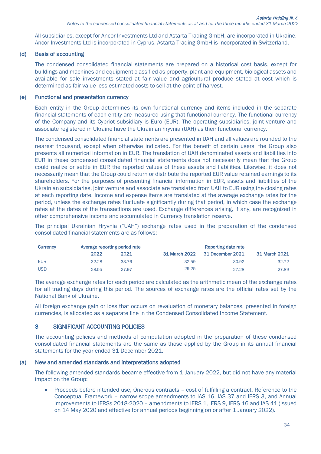All subsidiaries, except for Ancor Investments Ltd and Astarta Trading GmbH, are incorporated in Ukraine. Ancor Investments Ltd is incorporated in Cyprus, Astarta Trading GmbH is incorporated in Switzerland.

## (d) Basis of accounting

The condensed consolidated financial statements are prepared on a historical cost basis, except for buildings and machines and equipment classified as property, plant and equipment, biological assets and available for sale investments stated at fair value and agricultural produce stated at cost which is determined as fair value less estimated costs to sell at the point of harvest.

#### (e) Functional and presentation currency

Each entity in the Group determines its own functional currency and items included in the separate financial statements of each entity are measured using that functional currency. The functional currency of the Company and its Cypriot subsidiary is Euro (EUR). The operating subsidiaries, joint venture and associate registered in Ukraine have the Ukrainian hryvnia (UAH) as their functional currency.

The condensed consolidated financial statements are presented in UAH and all values are rounded to the nearest thousand, except when otherwise indicated. For the benefit of certain users, the Group also presents all numerical information in EUR. The translation of UAH denominated assets and liabilities into EUR in these condensed consolidated financial statements does not necessarily mean that the Group could realize or settle in EUR the reported values of these assets and liabilities. Likewise, it does not necessarily mean that the Group could return or distribute the reported EUR value retained earnings to its shareholders. For the purposes of presenting financial information in EUR, assets and liabilities of the Ukrainian subsidiaries, joint venture and associate are translated from UAH to EUR using the closing rates at each reporting date. Income and expense items are translated at the average exchange rates for the period, unless the exchange rates fluctuate significantly during that period, in which case the exchange rates at the dates of the transactions are used. Exchange differences arising, if any, are recognized in other comprehensive income and accumulated in Currency translation reserve.

The principal Ukrainian Hryvnia ("UAH") exchange rates used in the preparation of the condensed consolidated financial statements are as follows:

| <b>Currency</b> | Average reporting period rate |       |               |                  |               |
|-----------------|-------------------------------|-------|---------------|------------------|---------------|
|                 | 2022                          | 2021  | 31 March 2022 | 31 December 2021 | 31 March 2021 |
| <b>EUR</b>      | 32.28                         | 33.76 | 32.59         | 30.92            | 32.72         |
| <b>USD</b>      | 28.55                         | 27.97 | 29.25         | 27.28            | 27.89         |

The average exchange rates for each period are calculated as the arithmetic mean of the exchange rates for all trading days during this period. The sources of exchange rates are the official rates set by the National Bank of Ukraine.

All foreign exchange gain or loss that occurs on revaluation of monetary balances, presented in foreign currencies, is allocated as a separate line in the Condensed Consolidated Income Statement.

## 3 SIGNIFICANT ACCOUNTING POLICIES

The accounting policies and methods of computation adopted in the preparation of these condensed consolidated financial statements are the same as those applied by the Group in its annual financial statements for the year ended 31 December 2021.

#### (a) New and amended standards and interpretations adopted

The following amended standards became effective from 1 January 2022, but did not have any material impact on the Group:

• Proceeds before intended use, Onerous contracts – cost of fulfilling a contract, Reference to the Conceptual Framework – narrow scope amendments to IAS 16, IAS 37 and IFRS 3, and Annual improvements to IFRSs 2018-2020 - amendments to IFRS 1, IFRS 9, IFRS 16 and IAS 41 (issued on 14 May 2020 and effective for annual periods beginning on or after 1 January 2022).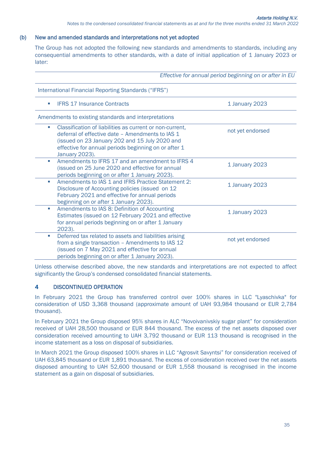#### (b) New and amended standards and interpretations not yet adopted

The Group has not adopted the following new standards and amendments to standards, including any consequential amendments to other standards, with a date of initial application of 1 January 2023 or later:

|                                         |                                                                                                                                                                                                                        | Effective for annual period beginning on or after in EU |
|-----------------------------------------|------------------------------------------------------------------------------------------------------------------------------------------------------------------------------------------------------------------------|---------------------------------------------------------|
|                                         | International Financial Reporting Standards ("IFRS")                                                                                                                                                                   |                                                         |
| <b>IFRS 17 Insurance Contracts</b><br>m |                                                                                                                                                                                                                        | 1 January 2023                                          |
|                                         | Amendments to existing standards and interpretations                                                                                                                                                                   |                                                         |
| <b>College</b><br><b>January 2023).</b> | Classification of liabilities as current or non-current,<br>deferral of effective date - Amendments to IAS 1<br>(issued on 23 January 202 and 15 July 2020 and<br>effective for annual periods beginning on or after 1 | not yet endorsed                                        |
| $\mathcal{L}_{\mathcal{A}}$             | Amendments to IFRS 17 and an amendment to IFRS 4<br>(issued on 25 June 2020 and effective for annual<br>periods beginning on or after 1 January 2023).                                                                 | 1 January 2023                                          |
| <b>I</b>                                | Amendments to IAS 1 and IFRS Practice Statement 2:<br>Disclosure of Accounting policies (issued on 12<br>February 2021 and effective for annual periods<br>beginning on or after 1 January 2023).                      | 1 January 2023                                          |
| <b>College</b><br>2023).                | Amendments to IAS 8: Definition of Accounting<br>Estimates (issued on 12 February 2021 and effective<br>for annual periods beginning on or after 1 January                                                             | 1 January 2023                                          |
| $\mathcal{L}_{\mathcal{A}}$             | Deferred tax related to assets and liabilities arising<br>from a single transaction - Amendments to IAS 12<br>(issued on 7 May 2021 and effective for annual<br>periods beginning on or after 1 January 2023).         | not yet endorsed                                        |

Unless otherwise described above, the new standards and interpretations are not expected to affect significantly the Group's condensed consolidated financial statements.

#### 4 DISCONTINUED OPERATION

In February 2021 the Group has transferred control over 100% shares in LLC "Lyaschivka" for consideration of USD 3,368 thousand (approximate amount of UAH 93,984 thousand or EUR 2,784 thousand).

In February 2021 the Group disposed 95% shares in ALC "Novoivanivskiy sugar plant" for consideration received of UAH 28,500 thousand or EUR 844 thousand. The excess of the net assets disposed over consideration received amounting to UAH 3,792 thousand or EUR 113 thousand is recognised in the income statement as a loss on disposal of subsidiaries.

In March 2021 the Group disposed 100% shares in LLC "Agrosvit Savyntsi" for consideration received of UAH 63,845 thousand or EUR 1,891 thousand. The excess of consideration received over the net assets disposed amounting to UAH 52,600 thousand or EUR 1,558 thousand is recognised in the income statement as a gain on disposal of subsidiaries.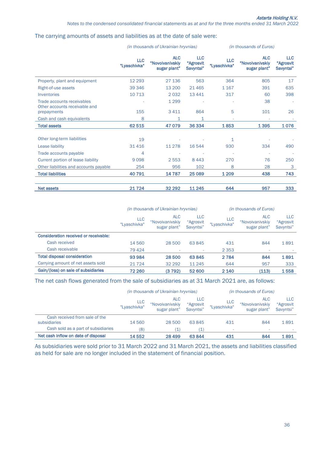#### The carrying amounts of assets and liabilities as at the date of sale were:

|                                                             |                            | <i>(in thousands of Ukrainian hryvnias)</i>   |                                      | (in thousands of Euros)    |                                               |                                      |
|-------------------------------------------------------------|----------------------------|-----------------------------------------------|--------------------------------------|----------------------------|-----------------------------------------------|--------------------------------------|
|                                                             | <b>LLC</b><br>"Lyaschivka" | <b>ALC</b><br>"Novoivanivskiy<br>sugar plant" | <b>LLC</b><br>"Agrosvit<br>Savyntsi" | <b>LLC</b><br>"Lyaschivka" | <b>ALC</b><br>"Novoivanivskiy<br>sugar plant" | <b>LLC</b><br>"Agrosvit<br>Savyntsi" |
| Property, plant and equipment                               | 12 2 9 3                   | 27 136                                        | 563                                  | 364                        | 805                                           | 17                                   |
| Right-of-use assets                                         | 39 34 6                    | 13 200                                        | 21465                                | 1 1 6 7                    | 391                                           | 635                                  |
| Inventories                                                 | 10 7 13                    | 2032                                          | 13 4 4 1                             | 317                        | 60                                            | 398                                  |
| Trade accounts receivables<br>Other accounts receivable and |                            | 1 2 9 9                                       |                                      |                            | 38                                            |                                      |
| prepayments                                                 | 155                        | 3 4 1 1                                       | 864                                  | 5                          | 101                                           | 26                                   |
| Cash and cash equivalents                                   | 8                          | 1                                             | 1                                    |                            |                                               |                                      |
| <b>Total assets</b>                                         | 62515                      | 47079                                         | 36 334                               | 1853                       | 1395                                          | 1076                                 |
| Other long-term liabilities                                 | 19                         |                                               |                                      | 1                          |                                               |                                      |
| Lease liability                                             | 31416                      | 11 278                                        | 16544                                | 930                        | 334                                           | 490                                  |
| Trade accounts payable                                      | 4                          |                                               |                                      |                            |                                               |                                      |
| Current portion of lease liability                          | 9098                       | 2 5 5 3                                       | 8443                                 | 270                        | 76                                            | 250                                  |
| Other liabilities and accounts payable                      | 254                        | 956                                           | 102                                  | 8                          | 28                                            | 3                                    |
| <b>Total liabilities</b>                                    | 40791                      | 14787                                         | 25 0 89                              | 1 2 0 9                    | 438                                           | 743                                  |
|                                                             |                            |                                               |                                      |                            |                                               |                                      |
| <b>Net assets</b>                                           | 21724                      | 32 29 2                                       | 11 245                               | 644                        | 957                                           | 333                                  |

|                                       | (in thousands of Ukrainian hryvnias) |                                               |                                      |                            | (in thousands of Euros)                       |                                      |
|---------------------------------------|--------------------------------------|-----------------------------------------------|--------------------------------------|----------------------------|-----------------------------------------------|--------------------------------------|
|                                       | <b>LLC</b><br>"Lyaschivka"           | <b>ALC</b><br>"Novoivanivskiy<br>sugar plant" | <b>LLC</b><br>"Agrosvit<br>Savyntsi" | <b>LLC</b><br>"Lyaschivka" | <b>ALC</b><br>"Novoivanivskiy<br>sugar plant" | <b>LLC</b><br>"Agrosvit<br>Savyntsi" |
| Consideration received or receivable: |                                      |                                               |                                      |                            |                                               |                                      |
| Cash received                         | 14 560                               | 28 500                                        | 63 845                               | 431                        | 844                                           | 1891                                 |
| Cash receivable                       | 79 4 24                              |                                               |                                      | 2 3 5 3                    |                                               |                                      |
| <b>Total disposal consideration</b>   | 93984                                | 28 500                                        | 63845                                | 2784                       | 844                                           | 1891                                 |
| Carrying amount of net assets sold    | 21724                                | 32 29 2                                       | 11 245                               | 644                        | 957                                           | 333                                  |
| Gain/(loss) on sale of subsidiaries   | 72 260                               | (3792)                                        | 52 600                               | 2 1 4 0                    | (113)                                         | 1558                                 |

The net cash flows generated from the sale of subsidiaries as at 31 March 2021 are, as follows:

|                                     | (in thousands of Ukrainian hryvnias) |                                               |                                      | <i>(in thousands of Euros)</i> |                                               |                                |
|-------------------------------------|--------------------------------------|-----------------------------------------------|--------------------------------------|--------------------------------|-----------------------------------------------|--------------------------------|
|                                     | <b>LLC</b><br>"Lyaschivka"           | <b>ALC</b><br>"Novoivanivskiy<br>sugar plant" | <b>LLC</b><br>"Agrosvit<br>Savyntsi" | LLC<br>"Lyaschivka"            | <b>ALC</b><br>"Novoivanivskiy<br>sugar plant" | LLC.<br>"Agrosvit<br>Savyntsi" |
| Cash received from sale of the      |                                      |                                               |                                      |                                |                                               |                                |
| subsidiaries                        | 14 560                               | 28 500                                        | 63845                                | 431                            | 844                                           | 1891                           |
| Cash sold as a part of subsidiaries | (8)                                  |                                               |                                      | $\overline{\phantom{a}}$       |                                               |                                |
| Net cash inflow on date of disposal | 14552                                | 28 4 9 9                                      | 63844                                | 431                            | 844                                           | 1891                           |

As subsidiaries were sold prior to 31 March 2022 and 31 March 2021, the assets and liabilities classified as held for sale are no longer included in the statement of financial position.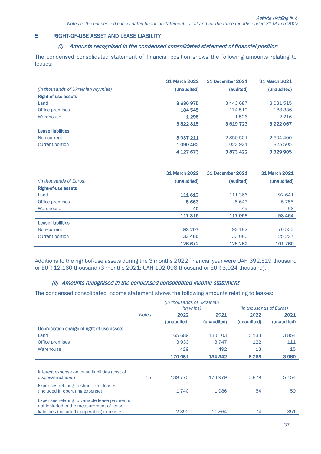# 5 RIGHT-OF-USE ASSET AND LEASE LIABILITY

# (i) Amounts recognised in the condensed consolidated statement of financial position

The condensed consolidated statement of financial position shows the following amounts relating to leases:

|                                      | 31 March 2022 | 31 December 2021 | 31 March 2021 |
|--------------------------------------|---------------|------------------|---------------|
| (in thousands of Ukrainian hryvnias) | (unaudited)   | (audited)        | (unaudited)   |
| <b>Right-of-use assets</b>           |               |                  |               |
| Land                                 | 3636975       | 3 443 687        | 3 0 3 1 5 1 5 |
| Office premises                      | 184 545       | 174 510          | 188 336       |
| Warehouse                            | 1 2 9 5       | 1526             | 2 2 1 6       |
|                                      | 3822815       | 3619723          | 3 2 2 0 6 7   |
| <b>Lease liabilities</b>             |               |                  |               |
| Non-current                          | 3 0 3 7 2 1 1 | 2850501          | 2 504 400     |
| Current portion                      | 1090462       | 1022921          | 825 505       |
|                                      | 4 127 673     | 3873422          | 3 3 2 9 9 0 5 |

|                            | 31 March 2022 | 31 December 2021 | 31 March 2021 |
|----------------------------|---------------|------------------|---------------|
| (in thousands of Euros)    | (unaudited)   | (audited)        | (unaudited)   |
| <b>Right-of-use assets</b> |               |                  |               |
| Land                       | 111 613       | 111 366          | 92 641        |
| Office premises            | 5 6 63        | 5 6 4 3          | 5755          |
| Warehouse                  | 40            | 49               | 68            |
|                            | 117 316       | 117058           | 98 4 64       |
| <b>Lease liabilities</b>   |               |                  |               |
| Non-current                | 93 207        | 92 182           | 76533         |
| Current portion            | 33 4 65       | 33 080           | 25 2 2 7      |
|                            | 126 672       | 125 262          | 101760        |

Additions to the right-of-use assets during the 3 months 2022 financial year were UAH 392,519 thousand or EUR 12,160 thousand (3 months 2021: UAH 102,098 thousand or EUR 3,024 thousand).

# (ii) Amounts recognised in the condensed consolidated income statement

The condensed consolidated income statement shows the following amounts relating to leases:

|                                                                                                                                          | (in thousands of Ukrainian |             |             |                                |             |
|------------------------------------------------------------------------------------------------------------------------------------------|----------------------------|-------------|-------------|--------------------------------|-------------|
|                                                                                                                                          |                            | hryvnias)   |             | <i>(in thousands of Euros)</i> |             |
|                                                                                                                                          | <b>Notes</b>               | 2022        | 2021        | 2022                           | 2021        |
|                                                                                                                                          |                            | (unaudited) | (unaudited) | (unaudited)                    | (unaudited) |
| Depreciation charge of right-of-use assets                                                                                               |                            |             |             |                                |             |
| Land                                                                                                                                     |                            | 165 689     | 130 103     | 5 1 3 3                        | 3854        |
| Office premises                                                                                                                          |                            | 3933        | 3 7 4 7     | 122                            | 111         |
| Warehouse                                                                                                                                |                            | 429         | 492         | 13                             | 15          |
|                                                                                                                                          |                            | 170 051     | 134 342     | 5 2 6 8                        | 3980        |
|                                                                                                                                          |                            |             |             |                                |             |
| Interest expense on lease liabilities (cost of<br>disposal included)                                                                     | 15                         | 189 775     | 173979      | 5879                           | 5 1 5 4     |
| Expenses relating to short-term leases<br>(included in operating expense)                                                                |                            | 1740        | 1986        | 54                             | 59          |
| Expenses relating to variable lease payments<br>not included in the measurement of lease<br>liabilities (included in operating expenses) |                            | 2 3 9 2     | 11864       | 74                             | 351         |
|                                                                                                                                          |                            |             |             |                                |             |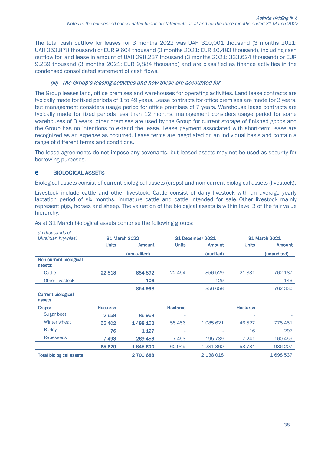The total cash outflow for leases for 3 months 2022 was UAH 310,001 thousand (3 months 2021: UAH 353,878 thousand) or EUR 9,604 thousand (3 months 2021: EUR 10,483 thousand), including cash outflow for land lease in amount of UAH 298,237 thousand (3 months 2021: 333,624 thousand) or EUR 9,239 thousand (3 months 2021: EUR 9,884 thousand) and are classified as finance activities in the condensed consolidated statement of cash flows.

## (iii) The Group's leasing activities and how these are accounted for

The Group leases land, office premises and warehouses for operating activities. Land lease contracts are typically made for fixed periods of 1 to 49 years. Lease contracts for office premises are made for 3 years, but management considers usage period for office premises of 7 years. Warehouse lease contracts are typically made for fixed periods less than 12 months, management considers usage period for some warehouses of 3 years, other premises are used by the Group for current storage of finished goods and the Group has no intentions to extend the lease. Lease payment associated with short-term lease are recognized as an expense as occurred. Lease terms are negotiated on an individual basis and contain a range of different terms and conditions.

The lease agreements do not impose any covenants, but leased assets may not be used as security for borrowing purposes.

## 6 BIOLOGICAL ASSETS

Biological assets consist of current biological assets (crops) and non-current biological assets (livestock).

Livestock include cattle and other livestock. Cattle consist of dairy livestock with an average yearly lactation period of six months, immature cattle and cattle intended for sale. Other livestock mainly represent pigs, horses and sheep. The valuation of the biological assets is within level 3 of the fair value hierarchy.

| (in thousands of                    |                      |             |                 |                  |                 |                      |
|-------------------------------------|----------------------|-------------|-----------------|------------------|-----------------|----------------------|
| Ukrainian hryvnias)                 | <b>31 March 2022</b> |             |                 | 31 December 2021 |                 | <b>31 March 2021</b> |
|                                     | <b>Units</b>         | Amount      | <b>Units</b>    | <b>Amount</b>    | <b>Units</b>    | <b>Amount</b>        |
|                                     |                      | (unaudited) |                 | (audited)        |                 | (unaudited)          |
| Non-current biological<br>assets:   |                      |             |                 |                  |                 |                      |
| Cattle                              | 22818                | 854 892     | 22 4 94         | 856 529          | 21831           | 762 187              |
| Other livestock                     |                      | 106         |                 | 129              |                 | 143                  |
|                                     |                      | 854 998     |                 | 856 658          |                 | 762 330              |
| <b>Current biological</b><br>assets |                      |             |                 |                  |                 |                      |
| Crops:                              | <b>Hectares</b>      |             | <b>Hectares</b> |                  | <b>Hectares</b> |                      |
| Sugar beet                          | 2658                 | 86958       |                 |                  |                 |                      |
| Winter wheat                        | 55 402               | 1488152     | 55 456          | 1085621          | 46527           | 775451               |
| <b>Barley</b>                       | 76                   | 1 1 2 7     | ۰               | ۰                | 16              | 297                  |
| Rapeseeds                           | 7493                 | 269 453     | 7493            | 195 739          | 7 241           | 160 459              |
|                                     | 65 629               | 1845690     | 62 949          | 1 281 360        | 53784           | 936 207              |
| <b>Total biological assets</b>      |                      | 2700688     |                 | 2 138 018        |                 | 1698537              |

As at 31 March biological assets comprise the following groups: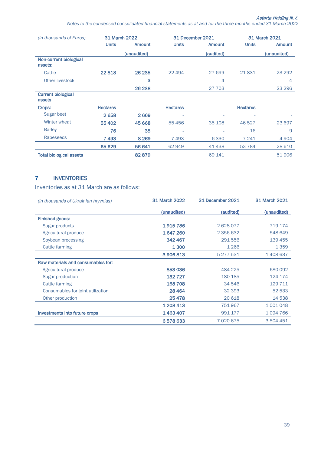*Notes to the condensed сonsolidated financial statements as at and for the three months ended 31 March 2022*

| (in thousands of Euros)                    | <b>31 March 2022</b> |               | 31 December 2021 |               |                 | 31 March 2021 |
|--------------------------------------------|----------------------|---------------|------------------|---------------|-----------------|---------------|
|                                            | <b>Units</b>         | <b>Amount</b> | <b>Units</b>     | <b>Amount</b> | <b>Units</b>    | <b>Amount</b> |
|                                            |                      | (unaudited)   |                  | (audited)     |                 | (unaudited)   |
| Non-current biological<br>assets:          |                      |               |                  |               |                 |               |
| Cattle                                     | 22818                | 26 235        | 22 4 9 4         | 27 699        | 21831           | 23 29 2       |
| Other livestock                            |                      | з             |                  | 4             |                 | 4             |
|                                            |                      | 26 238        |                  | 27 703        |                 | 23 29 6       |
| <b>Current biological</b><br><b>assets</b> |                      |               |                  |               |                 |               |
| Crops:                                     | <b>Hectares</b>      |               | <b>Hectares</b>  |               | <b>Hectares</b> |               |
| Sugar beet                                 | 2658                 | 2669          |                  | ۰             |                 |               |
| Winter wheat                               | 55 402               | 45 6 68       | 55 456           | 35 108        | 46 527          | 23 697        |
| <b>Barley</b>                              | 76                   | 35            | ۰                | -             | 16              | 9             |
| Rapeseeds                                  | 7493                 | 8 2 6 9       | 7493             | 6330          | 7 241           | 4 9 0 4       |
|                                            | 65 629               | 56 641        | 62 949           | 41438         | 53 7 84         | 28 6 10       |
| <b>Total biological assets</b>             |                      | 82879         |                  | 69 141        |                 | 51906         |

# 7 INVENTORIES

Inventories as at 31 March are as follows:

| <i>(in thousands of Ukrainian hryvnias)</i> | <b>31 March 2022</b> | 31 December 2021 | 31 March 2021 |
|---------------------------------------------|----------------------|------------------|---------------|
|                                             | (unaudited)          | (audited)        | (unaudited)   |
| <b>Finished goods:</b>                      |                      |                  |               |
| Sugar products                              | 1915786              | 2628077          | 719 174       |
| Agricultural produce                        | 1647260              | 2 356 632        | 548 649       |
| Soybean processing                          | 342467               | 291 556          | 139 455       |
| Cattle farming                              | 1300                 | 1 2 6 6          | 1 3 5 9       |
|                                             | 3 906 813            | 5 277 531        | 1408637       |
| Raw materials and consumables for:          |                      |                  |               |
| Agricultural produce                        | 853036               | 484 225          | 680 092       |
| Sugar production                            | 132727               | 180 185          | 124 174       |
| Cattle farming                              | 168708               | 34 546           | 129 711       |
| Consumables for joint utilization           | 28 4 64              | 32 393           | 52 533        |
| Other production                            | 25478                | 20 6 18          | 14 538        |
|                                             | 1 208 413            | 751967           | 1 001 048     |
| <b>Investments into future crops</b>        | 1463407              | 991 177          | 1094766       |
|                                             | 6578633              | 7020675          | 3 504 451     |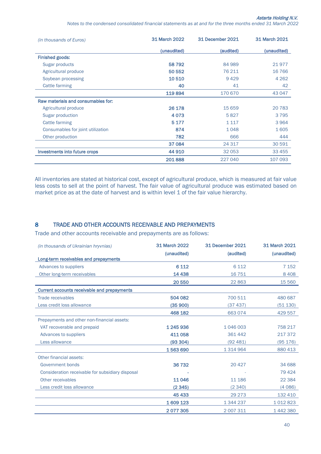*Notes to the condensed сonsolidated financial statements as at and for the three months ended 31 March 2022*

| <i>(in thousands of Euros)</i>     | <b>31 March 2022</b> | 31 December 2021 | 31 March 2021 |
|------------------------------------|----------------------|------------------|---------------|
|                                    | (unaudited)          | (audited)        | (unaudited)   |
| <b>Finished goods:</b>             |                      |                  |               |
| Sugar products                     | 58792                | 84 989           | 21977         |
| Agricultural produce               | 50 552               | 76 211           | 16 7 66       |
| Soybean processing                 | 10510                | 9429             | 4 2 6 2       |
| Cattle farming                     | 40                   | 41               | 42            |
|                                    | 119894               | 170 670          | 43 047        |
| Raw materials and consumables for: |                      |                  |               |
| Agricultural produce               | 26 178               | 15 6 59          | 20783         |
| Sugar production                   | 4073                 | 5827             | 3795          |
| <b>Cattle farming</b>              | 5 1 7 7              | 1 1 1 7          | 3964          |
| Consumables for joint utilization  | 874                  | 1048             | 1605          |
| Other production                   | 782                  | 666              | 444           |
|                                    | 37 0 84              | 24 317           | 30 591        |
| Investments into future crops      | 44 910               | 32 053           | 33 455        |
|                                    | 201888               | 227 040          | 107 093       |

All inventories are stated at historical cost, except of agricultural produce, which is measured at fair value less costs to sell at the point of harvest. The fair value of agricultural produce was estimated based on market price as at the date of harvest and is within level 1 of the fair value hierarchy.

# 8 TRADE AND OTHER ACCOUNTS RECEIVABLE AND PREPAYMENTS

Trade and other accounts receivable and prepayments are as follows:

| (in thousands of Ukrainian hryvnias)             | 31 March 2022 | 31 December 2021 | 31 March 2021 |
|--------------------------------------------------|---------------|------------------|---------------|
|                                                  | (unaudited)   | (audited)        | (unaudited)   |
| Long-term receivables and prepayments            |               |                  |               |
| Advances to suppliers                            | 6 1 1 2       | 6 1 1 2          | 7 1 5 2       |
| Other long-term receivables                      | 14 4 38       | 16 751           | 8408          |
|                                                  | 20 550        | 22 863           | 15 5 60       |
| Current accounts receivable and prepayments      |               |                  |               |
| <b>Trade receivables</b>                         | 504 082       | 700 511          | 480 687       |
| Less credit loss allowance                       | (35900)       | (37 437)         | (51130)       |
|                                                  | 468 182       | 663 074          | 429 557       |
| Prepayments and other non-financial assets:      |               |                  |               |
| VAT recoverable and prepaid                      | 1 245 936     | 1 046 003        | 758 217       |
| Advances to suppliers                            | 411058        | 361 442          | 217 372       |
| Less allowance                                   | (93304)       | (92 481)         | (95176)       |
|                                                  | 1563690       | 1 3 1 4 9 6 4    | 880 413       |
| Other financial assets:                          |               |                  |               |
| Government bonds                                 | 36732         | 20 4 27          | 34 688        |
| Consideration receivable for subsidiary disposal |               |                  | 79 4 24       |
| Other receivables                                | 11046         | 11 186           | 22 3 84       |
| Less credit loss allowance                       | (2345)        | (2340)           | (4086)        |
|                                                  | 45 4 33       | 29 273           | 132 410       |
|                                                  | 1609123       | 1 344 237        | 1012823       |
|                                                  | 2077305       | 2 007 311        | 1442380       |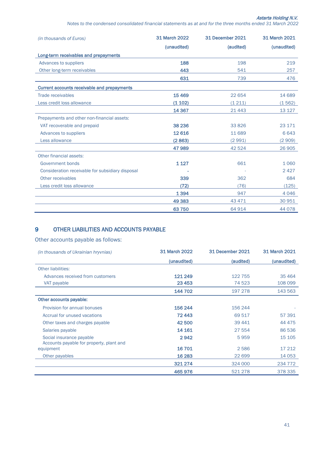*Notes to the condensed сonsolidated financial statements as at and for the three months ended 31 March 2022*

| (in thousands of Euros)                            | <b>31 March 2022</b> | 31 December 2021 | <b>31 March 2021</b> |
|----------------------------------------------------|----------------------|------------------|----------------------|
|                                                    | (unaudited)          | (audited)        | (unaudited)          |
| Long-term receivables and prepayments              |                      |                  |                      |
| Advances to suppliers                              | 188                  | 198              | 219                  |
| Other long-term receivables                        | 443                  | 541              | 257                  |
|                                                    | 631                  | 739              | 476                  |
| <b>Current accounts receivable and prepayments</b> |                      |                  |                      |
| <b>Trade receivables</b>                           | 15 4 69              | 22 654           | 14 689               |
| Less credit loss allowance                         | (1102)               | (1211)           | (1562)               |
|                                                    | 14 3 67              | 21 4 4 3         | 13 127               |
| Prepayments and other non-financial assets:        |                      |                  |                      |
| VAT recoverable and prepaid                        | 38 236               | 33 8 26          | 23 171               |
| Advances to suppliers                              | 12616                | 11 689           | 6643                 |
| Less allowance                                     | (2863)               | (2991)           | (2909)               |
|                                                    | 47989                | 42 5 24          | 26 905               |
| Other financial assets:                            |                      |                  |                      |
| Government bonds                                   | 1 1 2 7              | 661              | 1060                 |
| Consideration receivable for subsidiary disposal   |                      |                  | 2427                 |
| Other receivables                                  | 339                  | 362              | 684                  |
| Less credit loss allowance                         | (72)                 | (76)             | (125)                |
|                                                    | 1 3 9 4              | 947              | 4046                 |
|                                                    | 49 3 83              | 43 471           | 30 951               |
|                                                    | 63750                | 64 914           | 44 0 78              |

## 9 OTHER LIABILITIES AND ACCOUNTS PAYABLE

Other accounts payable as follows:

| <i>(in thousands of Ukrainian hryvnias)</i>                          | <b>31 March 2022</b> | 31 December 2021 | 31 March 2021 |
|----------------------------------------------------------------------|----------------------|------------------|---------------|
|                                                                      | (unaudited)          | (audited)        | (unaudited)   |
| <b>Other liabilities:</b>                                            |                      |                  |               |
| Advances received from customers                                     | 121 249              | 122 755          | 35 4 64       |
| VAT payable                                                          | 23 4 53              | 74 523           | 108 099       |
|                                                                      | 144 702              | 197 278          | 143 563       |
| Other accounts payable:                                              |                      |                  |               |
| Provision for annual bonuses                                         | 156 244              | 156 244          |               |
| Accrual for unused vacations                                         | 72443                | 69 517           | 57 391        |
| Other taxes and charges payable                                      | 42 500               | 39 441           | 44 4 7 5      |
| Salaries payable                                                     | 14 161               | 27 554           | 86536         |
| Social insurance payable<br>Accounts payable for property, plant and | 2942                 | 5959             | 15 105        |
| equipment                                                            | 16701                | 2586             | 17 212        |
| Other payables                                                       | 16 2 83              | 22 699           | 14 0 53       |
|                                                                      | 321 274              | 324 000          | 234 772       |
|                                                                      | 465976               | 521 278          | 378 335       |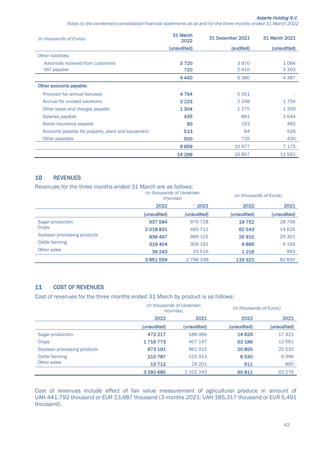*Notes to the condensed сonsolidated financial statements as at and for the three months ended 31 March 2022*

| (in thousands of Euros)                            | 31 March<br>2022 | 31 December 2021 | 31 March 2021 |
|----------------------------------------------------|------------------|------------------|---------------|
|                                                    | (unaudited)      | (audited)        | (unaudited)   |
| Other liabilities:                                 |                  |                  |               |
| Advances received from customers                   | 3720             | 3970             | 1084          |
| VAT payable                                        | 720              | 2410             | 3 3 0 3       |
|                                                    | 4440             | 6380             | 4 3 8 7       |
| Other accounts payable:                            |                  |                  |               |
| Provision for annual bonuses                       | 4 7 9 4          | 5051             |               |
| Accrual for unused vacations                       | 2 2 2 3          | 2 2 4 8          | 1754          |
| Other taxes and charges payable                    | 1 3 0 4          | 1275             | 1359          |
| Salaries payable                                   | 435              | 891              | 2644          |
| Social insurance payable                           | 90               | 193              | 462           |
| Accounts payable for property, plant and equipment | 513              | 84               | 526           |
| Other payables                                     | 500              | 735              | 430           |
|                                                    | 9859             | 10 477           | 7 1 7 5       |
|                                                    | 14 299           | 16857            | 11562         |

#### 10 REVENUES

Revenues for the three months ended 31 March are as follows:

|                             | in thousands of Ukrainian)<br>hryvnias) |             | (in thousands of Euros) |             |
|-----------------------------|-----------------------------------------|-------------|-------------------------|-------------|
|                             | 2022                                    | 2021        | 2022                    | 2021        |
|                             | (unaudited)                             | (unaudited) | (unaudited)             | (unaudited) |
| Sugar production            | 637 584                                 | 970 728     | 19752                   | 28756       |
| Crops                       | 2018831                                 | 493 712     | 62 543                  | 14 6 26     |
| Soybean processing products | 836 497                                 | 989 102     | 25915                   | 29 301      |
| Cattle farming              | 319404                                  | 309 191     | 9895                    | 9 1 5 9     |
| Other sales                 | 39 24 3                                 | 33 516      | 1 2 1 6                 | 993         |
|                             | 3851559                                 | 2 796 249   | 119 321                 | 82 835      |

# 11 COST OF REVENUES

Cost of revenues for the three months ended 31 March by product is as follows:

|                             | (in thousands of Ukrainian<br>hryvnias) |             | (in thousands of Euros) |             |
|-----------------------------|-----------------------------------------|-------------|-------------------------|-------------|
|                             | 2022                                    | 2021        | 2022                    | 2021        |
|                             | (unaudited)                             | (unaudited) | (unaudited)             | (unaudited) |
| Sugar production            | 472 217                                 | 588 066     | 14 6 29                 | 17421       |
| Crops                       | 1716773                                 | 407 147     | 53 186                  | 12 0 6 1    |
| Soybean processing products | 673 191                                 | 861915      | 20855                   | 25 5 33     |
| Cattle farming              | 210 787                                 | 215913      | 6530                    | 6396        |
| Other sales                 | 19712                                   | 29 201      | 611                     | 865         |
|                             | 3 092 680                               | 2 102 242   | 95811                   | 62 2 7 6    |

Cost of revenues include effect of fair value measurement of agricultural produce in amount of UAH 441,792 thousand or EUR 13,687 thousand (3 months 2021: UAH 185,317 thousand or EUR 5,491 thousand).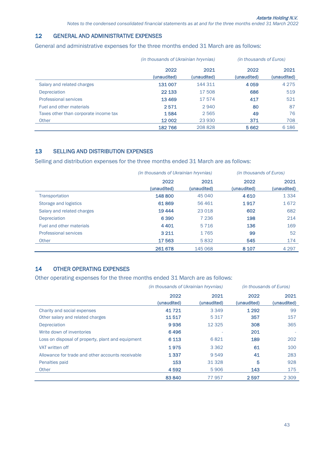## 12 GENERAL AND ADMINISTRATIVE EXPENSES

General and administrative expenses for the three months ended 31 March are as follows:

|                                       | (in thousands of Ukrainian hryvnias) |                     | (in thousands of Euros) |                     |
|---------------------------------------|--------------------------------------|---------------------|-------------------------|---------------------|
|                                       | 2022<br>(unaudited)                  | 2021<br>(unaudited) | 2022<br>(unaudited)     | 2021<br>(unaudited) |
| Salary and related charges            | 131 007                              | 144 311             | 4 0 5 9                 | 4 2 7 5             |
| Depreciation                          | 22 133                               | 17 508              | 686                     | 519                 |
| <b>Professional services</b>          | 13469                                | 17574               | 417                     | 521                 |
| Fuel and other materials              | 2571                                 | 2940                | 80                      | 87                  |
| Taxes other than corporate income tax | 1584                                 | 2565                | 49                      | 76                  |
| Other                                 | 12 002                               | 23 930              | 371                     | 708                 |
|                                       | 182766                               | 208 828             | 5 6 6 2                 | 6 1 8 6             |

## 13 SELLING AND DISTRIBUTION EXPENSES

Selling and distribution expenses for the three months ended 31 March are as follows:

|                              | (in thousands of Ukrainian hryvnias) |             | <i>(in thousands of Euros)</i> |             |
|------------------------------|--------------------------------------|-------------|--------------------------------|-------------|
|                              | 2022                                 | 2021        | 2022                           | 2021        |
|                              | (unaudited)                          | (unaudited) | (unaudited)                    | (unaudited) |
| Transportation               | 148 800                              | 45 040      | 4610                           | 1 3 3 4     |
| Storage and logistics        | 61869                                | 56 4 61     | 1917                           | 1672        |
| Salary and related charges   | 19444                                | 23 0 18     | 602                            | 682         |
| <b>Depreciation</b>          | 6390                                 | 7 2 3 6     | 198                            | 214         |
| Fuel and other materials     | 4 4 0 1                              | 5 7 1 6     | 136                            | 169         |
| <b>Professional services</b> | 3 2 1 1                              | 1765        | 99                             | 52          |
| Other                        | 17563                                | 5832        | 545                            | 174         |
|                              | 261 678                              | 145 068     | 8 1 0 7                        | 4 2 9 7     |

# 14 OTHER OPERATING EXPENSES

Other operating expenses for the three months ended 31 March are as follows:

|                                                   | (in thousands of Ukrainian hryvnias) |                     | (in thousands of Euros) |                     |
|---------------------------------------------------|--------------------------------------|---------------------|-------------------------|---------------------|
|                                                   | 2022<br>(unaudited)                  | 2021<br>(unaudited) | 2022<br>(unaudited)     | 2021<br>(unaudited) |
| Charity and social expenses                       | 41721                                | 3 3 4 9             | 1 2 9 2                 | 99                  |
| Other salary and related charges                  | 11517                                | 5 3 1 7             | 357                     | 157                 |
| <b>Depreciation</b>                               | 9936                                 | 12 3 25             | 308                     | 365                 |
| Write down of inventories                         | 6496                                 |                     | 201                     |                     |
| Loss on disposal of property, plant and equipment | 6 1 1 3                              | 6821                | 189                     | 202                 |
| VAT written off                                   | 1975                                 | 3 3 6 2             | 61                      | 100                 |
| Allowance for trade and other accounts receivable | 1337                                 | 9 5 4 9             | 41                      | 283                 |
| Penalties paid                                    | 153                                  | 31 328              | 5                       | 928                 |
| Other                                             | 4592                                 | 5906                | 143                     | 175                 |
|                                                   | 83840                                | 77957               | 2597                    | 2 3 0 9             |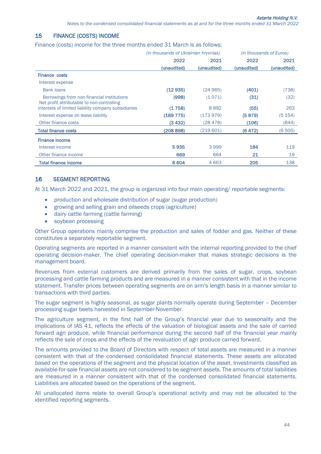#### 15 FINANCE (COSTS) INCOME

Finance (costs) income for the three months ended 31 March is as follows:

|                                                                                          | (in thousands of Ukrainian hryvnias) |             | <i>(in thousands of Euros)</i> |             |  |
|------------------------------------------------------------------------------------------|--------------------------------------|-------------|--------------------------------|-------------|--|
|                                                                                          | 2022                                 | 2021        | 2022                           | 2021        |  |
|                                                                                          | (unaudited)                          | (unaudited) | (unaudited)                    | (unaudited) |  |
| <b>Finance costs</b>                                                                     |                                      |             |                                |             |  |
| Interest expense                                                                         |                                      |             |                                |             |  |
| <b>Bank loans</b>                                                                        | (12935)                              | (24965)     | (401)                          | (738)       |  |
| Borrowings from non-financial institutions<br>Net profit attributable to non-controlling | (998)                                | (1071)      | (31)                           | (32)        |  |
| interests of limited liability company subsidiaries                                      | (1758)                               | 8892        | (55)                           | 263         |  |
| Interest expense on lease liability                                                      | (189 775)                            | (173979)    | (5879)                         | (5 154)     |  |
| Other finance costs                                                                      | (3432)                               | (28 478)    | (106)                          | (844)       |  |
| <b>Total finance costs</b>                                                               | (208 898)                            | (219 601)   | (6472)                         | (6505)      |  |
| <b>Finance income</b>                                                                    |                                      |             |                                |             |  |
| Interest income                                                                          | 5935                                 | 3999        | 184                            | 119         |  |
| Other finance income                                                                     | 669                                  | 664         | 21                             | 19          |  |
| <b>Total finance income</b>                                                              | 6604                                 | 4 6 6 3     | 205                            | 138         |  |

#### 16 SEGMENT REPORTING

At 31 March 2022 and 2021, the group is organized into four main operating/ reportable segments:

- production and wholesale distribution of sugar (sugar production)
- growing and selling grain and oilseeds crops (agriculture)
- dairy cattle farming (cattle farming)
- soybean processing

Other Group operations mainly comprise the production and sales of fodder and gas. Neither of these constitutes a separately reportable segment.

Operating segments are reported in a manner consistent with the internal reporting provided to the chief operating decision-maker. The chief operating decision-maker that makes strategic decisions is the management board.

Revenues from external customers are derived primarily from the sales of sugar, crops, soybean processing and cattle farming products and are measured in a manner consistent with that in the income statement. Transfer prices between operating segments are on arm's length basis in a manner similar to transactions with third parties.

The sugar segment is highly seasonal, as sugar plants normally operate during September – December processing sugar beets harvested in September-November.

The agriculture segment, in the first half of the Group's financial year due to seasonality and the implications of IAS 41, reflects the effects of the valuation of biological assets and the sale of carried forward agri produce, while financial performance during the second half of the financial year mainly reflects the sale of crops and the effects of the revaluation of agri produce carried forward.

The amounts provided to the Board of Directors with respect of total assets are measured in a manner consistent with that of the condensed consolidated financial statements. These assets are allocated based on the operations of the segment and the physical location of the asset. Investments classified as available-for-sale financial assets are not considered to be segment assets. The amounts of total liabilities are measured in a manner consistent with that of the condensed consolidated financial statements. Liabilities are allocated based on the operations of the segment.

All unallocated items relate to overall Group's operational activity and may not be allocated to the identified reporting segments.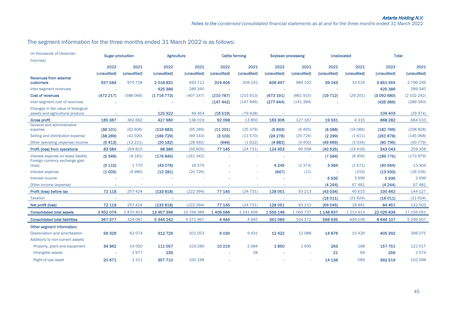## The segment information for the three months ended 31 March 2022 is as follows:

| (in thousands of Ukrainian<br>hryvnias)                                | <b>Sugar production</b> |             | <b>Agriculture</b> |             |             | <b>Cattle farming</b> | Soybean processing |             | <b>Unallocated</b> |               | <b>Total</b> |             |
|------------------------------------------------------------------------|-------------------------|-------------|--------------------|-------------|-------------|-----------------------|--------------------|-------------|--------------------|---------------|--------------|-------------|
|                                                                        | 2022                    | 2021        | 2022               | 2021        | 2022        | 2021                  | 2022               | 2021        | 2022               | 2021          | 2022         | 2021        |
|                                                                        | (unaudited)             | (unaudited) | (unaudited)        | (unaudited) | (unaudited) | (unaudited)           | (unaudited)        | (unaudited) | (unaudited)        | (unaudited)   | (unaudited)  | (unaudited) |
| <b>Revenues from external</b><br>customers                             | 637 584                 | 970728      | 2018831            | 493 712     | 319 404     | 309 191               | 836497             | 989 102     | 39 24 3            | 33 516        | 3851559      | 2 796 249   |
| Inter-segment revenues                                                 |                         |             | 425 386            | 289 340     |             |                       |                    |             |                    |               | 425 386      | 289 340     |
| <b>Cost of revenues</b>                                                | (472 217)               | (588066)    | (1716773)          | (407 147)   | (210 787)   | (215913)              | (673 191)          | (861915)    | (19712)            | (29 201)      | (3092680)    | (2 102 242) |
| Inter-segment cost of revenues                                         |                         |             |                    |             | (147442)    | (147946)              | (277944)           | (141394)    |                    |               | (425 386)    | (289 340)   |
| Changes in fair value of biological<br>assets and agricultural produce |                         | ×.          | 125922             | 49 4 54     | (16519)     | (79 428)              |                    |             |                    |               | 109 403      | (29974)     |
| <b>Gross profit</b>                                                    | 165 367                 | 382 662     | 427980             | 136 019     | 92 098      | 13850                 | 163 306            | 127 187     | 19531              | 4 3 1 5       | 868 282      | 664 033     |
| General and administrative<br>expense                                  | (38101)                 | (62606)     | (119683)           | (95289)     | (11 201)    | (25379)               | (5693)             | (6465)      | (8088)             | (19089)       | (182 766)    | (208828)    |
| Selling and distribution expense                                       | (38269)                 | (42020)     | (189 729)          | (69 143)    | (3 103)     | (11570)               | (28 278)           | (20724)     | (2299)             | (1611)        | (261678)     | (145068)    |
| Other operating (expense) income                                       | (5413)                  | (13 221)    | (20 182)           | (28492)     | (649)       | (1632)                | (4882)             | (4400)      | (49669)            | (3034)        | (80795)      | (50779)     |
| Profit (loss) from operations                                          | 83 5 84                 | 264 815     | 98 3 86            | (56905)     | 77 145      | (24731)               | 124 453            | 95 598      | (40525)            | (19419)       | 343043       | 259 358     |
| Interest expense on lease liability<br>Foreign currency exchange gain  | (5346)                  | (4 181)     | (176845)           | (161342)    |             |                       |                    |             | (7584)             | (8456)        | (189 775)    | (173979)    |
| $(\text{loss})$                                                        | (5115)                  | 1770        | (43078)            | 16579       |             |                       | 4 2 4 5            | (2374)      | 3 3 8 4            | (2671)        | (40564)      | 13 3 04     |
| Interest expense                                                       | (1005)                  | (4980)      | (12281)            | (20726)     |             |                       | (647)              | (11)        | $\sim$             | (319)         | (13933)      | (26036)     |
| Interest income                                                        |                         |             |                    |             |             |                       |                    | ÷.          | 5935               | 3999          | 5935         | 3999        |
| Other income (expense)                                                 |                         | ×.          |                    |             |             |                       |                    | ×           | (4244)             | 67 481        | (4244)       | 67 481      |
| Profit (loss) before tax                                               | 72 118                  | 257 424     | (133 818)          | (222394)    | 77 145      | (24731)               | 128 051            | 93 213      | (43034)            | 40 615        | 100 462      | 144 127     |
| <b>Taxation</b>                                                        | $\sim$                  | ×.          | $\sim$             |             | $\sim$      | ×.                    | $\sim$             | ×.          | (16011)            | (21624)       | (16011)      | (21624)     |
| Net profit (loss)                                                      | 72 118                  | 257 424     | (133 818)          | (222394)    | 77 145      | (24731)               | 128 051            | 93 213      | (59045)            | 18 991        | 84 451       | 122 503     |
| <b>Consolidated total assets</b>                                       | 3952074                 | 2870403     | 13 957 396         | 10 769 389  | 1408586     | 1 241 609             | 1559146            | 1 0 60 7 37 | 1 148 637          | 1 2 1 3 9 1 3 | 22 025 839   | 17 156 051  |
| <b>Consolidated total liabilities</b>                                  | 367 377                 | 324 087     | 5 344 242          | 4 371 997   | 4464        | 4945                  | 361089             | 104 372     | 568935             | 494 106       | 6 646 107    | 5 299 507   |
| Other segment information:                                             |                         |             |                    |             |             |                       |                    |             |                    |               |              |             |
| Depreciation and amortisation                                          | 56326                   | 63 0 74     | 312729             | 301 053     | 9039        | 9431                  | 12422              | 12 088      | 14876              | 10 4 29       | 405 392      | 396 075     |
| Additions to non-current assets:                                       |                         |             |                    |             |             |                       |                    |             |                    |               |              |             |
| Property, plant and equipment                                          | 34 362                  | 14 050      | 111057             | 103 280     | 10 219      | 2584                  | 1850               | 1935        | 263                | 168           | 157751       | 122 017     |
| Intangible assets                                                      |                         | 1977        | 235                |             |             | 28                    |                    |             | 21                 | 69            | 256          | 2074        |
| Right-of-use asset                                                     | 20 671                  | 1 3 1 1     | 357710             | 100 198     |             |                       |                    |             | 14 138             | 589           | 392519       | 102 098     |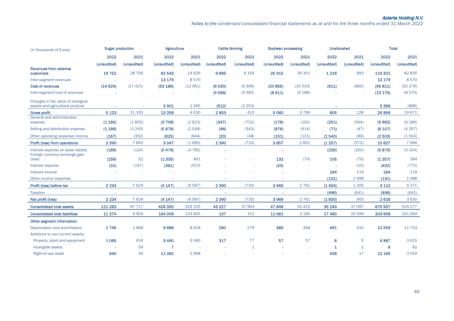*Notes to the condensed сonsolidated financial statements as at and for the three months ended 31 March 2022*

| (in thousands of Euros)                                                | <b>Sugar production</b> |             | <b>Agriculture</b> |             |             | <b>Cattle farming</b> | Soybean processing |             | <b>Unallocated</b> |                | <b>Total</b> |             |
|------------------------------------------------------------------------|-------------------------|-------------|--------------------|-------------|-------------|-----------------------|--------------------|-------------|--------------------|----------------|--------------|-------------|
|                                                                        | 2022                    | 2021        | 2022               | 2021        | 2022        | 2021                  | 2022               | 2021        | 2022               | 2021           | 2022         | 2021        |
|                                                                        | (unaudited)             | (unaudited) | (unaudited)        | (unaudited) | (unaudited) | (unaudited)           | (unaudited)        | (unaudited) | (unaudited)        | (unaudited)    | (unaudited)  | (unaudited) |
| <b>Revenues from external</b><br><b>customers</b>                      | 19752                   | 28 7 5 6    | 62 543             | 14 6 26     | 9895        | 9 1 5 9               | 25 915             | 29 301      | 1 2 1 6            | 993            | 119 321      | 82 835      |
| Inter-segment revenues                                                 |                         |             | 13 179             | 8570        |             | ×.                    |                    | $\sim$      |                    |                | 13 179       | 8570        |
| <b>Cost of revenues</b>                                                | (14629)                 | (17421)     | (53 186)           | (12061)     | (6530)      | (6396)                | (20855)            | (25533)     | (611)              | (865)          | (95811)      | (62 276)    |
| Inter-segment cost of revenues                                         |                         |             |                    |             | (4568)      | (4382)                | (8611)             | (4 188)     |                    |                | (13 179)     | (8570)      |
| Changes in fair value of biological<br>assets and agricultural produce |                         |             | 3901               | 1465        | (512)       | (2353)                |                    |             |                    |                | 3 3 8 9      | (888)       |
| <b>Gross profit</b>                                                    | 5 1 2 3                 | 11 3 35     | 13 25 8            | 4 0 3 0     | 2853        | 410                   | 5 0 6 0            | 3768        | 605                | 128            | 26899        | 19671       |
| General and administrative<br>expense                                  | (1180)                  | (1855)      | (3708)             | (2823)      | (347)       | (752)                 | (176)              | (192)       | (251)              | (564)          | (5662)       | (6 186)     |
| Selling and distribution expense                                       | (1186)                  | (1245)      | (5878)             | (2048)      | (96)        | (343)                 | (876)              | (614)       | (71)               | (47)           | (8107)       | (4297)      |
| Other operating (expense) income                                       | (167)                   | (392)       | (625)              | (844)       | (20)        | (48)                  | (151)              | (131)       | (1540)             | (89)           | (2503)       | (1504)      |
| Profit (loss) from operations                                          | 2590                    | 7843        | 3 0 4 7            | (1685)      | 2 3 9 0     | (733)                 | 3857               | 2831        | (1257)             | (572)          | 10 6 27      | 7684        |
| Interest expense on lease liability<br>Foreign currency exchange gain  | (166)                   | (124)       | (5478)             | (4780)      |             |                       | $\sim$             |             | (235)              | (250)          | (5879)       | (5 154)     |
| $(\text{loss})$                                                        | (159)                   | 52          | (1335)             | 491         |             |                       | 132                | (70)        | 105                | (79)           | (1.257)      | 394         |
| Interest expense                                                       | (31)                    | (147)       | (381)              | (613)       |             |                       | (20)               |             | ×.                 | (10)           | (432)        | (770)       |
| Interest income                                                        |                         |             |                    |             |             |                       |                    |             | 184                | 119            | 184          | 119         |
| Other income (expense)                                                 | ٠                       | ٠           |                    | ٠           |             |                       |                    | ×.          | (131)              | 1998           | (131)        | 1998        |
| Profit (loss) before tax                                               | 2 2 3 4                 | 7 6 24      | (4147)             | (6587)      | 2 3 9 0     | (733)                 | 3969               | 2761        | (1334)             | 1 2 0 6        | 3 1 1 2      | 4 2 7 1     |
| <b>Taxation</b>                                                        | $\sim$                  | $\sim$      | $\sim$             | $\sim$      | $\sim$      | $\sim$                | $\sim$             | $\sim$      | (496)              | (641)          | (496)        | (641)       |
| Net profit (loss)                                                      | 2 2 3 4                 | 7 6 24      | (4147)             | (6587)      | 2 3 9 0     | (733)                 | 3969               | 2761        | (1830)             | 565            | 2616         | 3 6 3 0     |
| <b>Consolidated total assets</b>                                       | 121 283                 | 87 717      | 428 330            | 329 105     | 43 227      | 37943                 | 47848              | 32 4 15     | 35 24 9            | 37 097         | 675937       | 524 277     |
| <b>Consolidated total liabilities</b>                                  | 11 274                  | 9 9 0 4     | 164 006            | 133 605     | 137         | 151                   | 11081              | 3 1 9 0     | 17460              | 15 0 99        | 203 958      | 161949      |
| <b>Other segment information:</b>                                      |                         |             |                    |             |             |                       |                    |             |                    |                |              |             |
| Depreciation and amortisation                                          | 1745                    | 1868        | 9688               | 8918        | 280         | 279                   | 385                | 358         | 461                | 310            | 12559        | 11733       |
| Additions to non-current assets:                                       |                         |             |                    |             |             |                       |                    |             |                    |                |              |             |
| Property, plant and equipment                                          | 1065                    | 416         | 3440               | 3 0 6 0     | 317         | 77                    | 57                 | 57          | 8                  | 5              | 4887         | 3 6 1 5     |
| Intangible assets                                                      |                         | 59          | $\overline{7}$     |             |             | $\mathbf{1}$          |                    |             | 1                  | $\overline{2}$ | 8            | 62          |
| Right-of-use asset                                                     | 640                     | 39          | 11082              | 2968        |             |                       |                    |             | 438                | 17             | 12 160       | 3 0 2 4     |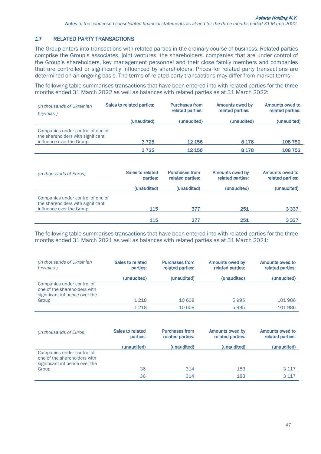## 17 RELATED PARTY TRANSACTIONS

The Group enters into transactions with related parties in the ordinary course of business. Related parties comprise the Group's associates, joint ventures, the shareholders, companies that are under control of the Group's shareholders, key management personnel and their close family members and companies that are controlled or significantly influenced by shareholders. Prices for related party transactions are determined on an ongoing basis. The terms of related party transactions may differ from market terms.

The following table summarises transactions that have been entered into with related parties for the three months ended 31 March 2022 as well as balances with related parties as at 31 March 2022:

| (in thousands of Ukrainian<br>hryvnias)                                                            | Sales to related parties: | <b>Purchases from</b><br>related parties: | Amounts owed by<br>related parties: | Amounts owed to<br>related parties: |
|----------------------------------------------------------------------------------------------------|---------------------------|-------------------------------------------|-------------------------------------|-------------------------------------|
|                                                                                                    | (unaudited)               | (unaudited)                               | (unaudited)                         | (unaudited)                         |
| Companies under control of one of<br>the shareholders with significant<br>influence over the Group | 3725                      | 12 15 6                                   | 8 1 7 8                             | 108752                              |
|                                                                                                    | 3725                      | 12 156                                    | 8 1 7 8                             | 108752                              |
|                                                                                                    |                           |                                           |                                     |                                     |

| (in thousands of Euros)                                                                            | Sales to related<br>parties: | <b>Purchases from</b><br>related parties: | Amounts owed by<br>related parties: | Amounts owed to<br>related parties: |
|----------------------------------------------------------------------------------------------------|------------------------------|-------------------------------------------|-------------------------------------|-------------------------------------|
|                                                                                                    | (unaudited)                  | (unaudited)                               | (unaudited)                         | (unaudited)                         |
| Companies under control of one of<br>the shareholders with significant<br>influence over the Group | 115                          | 377                                       | 251                                 | 3 3 3 7                             |
|                                                                                                    | 115                          | 377                                       | 251                                 | 3 3 3 7                             |

The following table summarises transactions that have been entered into with related parties for the three months ended 31 March 2021 as well as balances with related parties as at 31 March 2021:

| (in thousands of Ukrainian<br>hryvnias)                                                      | Sales to related<br>parties: | <b>Purchases from</b><br>related parties: | Amounts owed by<br>related parties: | Amounts owed to<br>related parties: |
|----------------------------------------------------------------------------------------------|------------------------------|-------------------------------------------|-------------------------------------|-------------------------------------|
|                                                                                              | (unaudited)                  | (unaudited)                               | (unaudited)                         | (unaudited)                         |
| Companies under control of<br>one of the shareholders with<br>significant influence over the |                              |                                           |                                     |                                     |
| Group                                                                                        | 1 2 1 8                      | 10 608                                    | 5995                                | 101986                              |
|                                                                                              | 1218                         | 10 608                                    | 5995                                | 101986                              |

| (in thousands of Euros)                                                                      | Sales to related<br>parties: | <b>Purchases from</b><br>related parties: | Amounts owed by<br>related parties: | Amounts owed to<br>related parties: |
|----------------------------------------------------------------------------------------------|------------------------------|-------------------------------------------|-------------------------------------|-------------------------------------|
|                                                                                              | (unaudited)                  | (unaudited)                               | (unaudited)                         | (unaudited)                         |
| Companies under control of<br>one of the shareholders with<br>significant influence over the |                              |                                           |                                     |                                     |
| Group                                                                                        | 36                           | 314                                       | 183                                 | 3 1 1 7                             |
|                                                                                              | 36                           | 314                                       | 183                                 | 3 1 1 7                             |